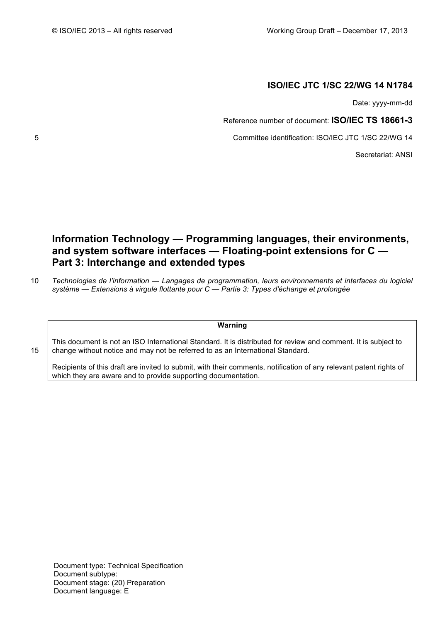# **ISO/IEC JTC 1/SC 22/WG 14 N1784**

Date: yyyy-mm-dd

Reference number of document: **ISO/IEC TS 18661-3**

5 Committee identification: ISO/IEC JTC 1/SC 22/WG 14

Secretariat: ANSI

# **Information Technology — Programming languages, their environments, and system software interfaces — Floating-point extensions for C — Part 3: Interchange and extended types**

10 *Technologies de l'information — Langages de programmation, leurs environnements et interfaces du logiciel système — Extensions à virgule flottante pour C — Partie 3: Types d'échange et prolongée*

## **Warning**

This document is not an ISO International Standard. It is distributed for review and comment. It is subject to 15 change without notice and may not be referred to as an International Standard.

Recipients of this draft are invited to submit, with their comments, notification of any relevant patent rights of which they are aware and to provide supporting documentation.

Document type: Technical Specification Document subtype: Document stage: (20) Preparation Document language: E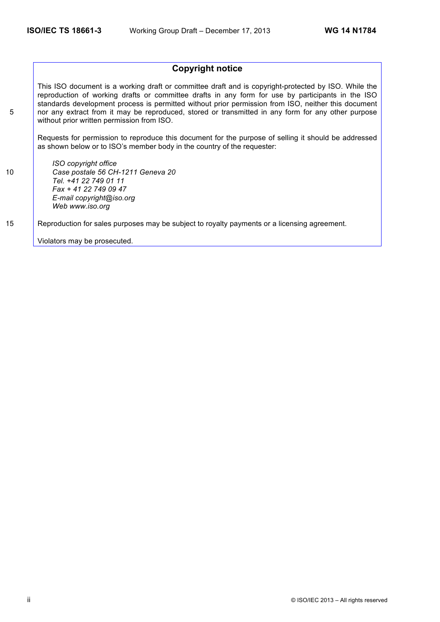# **Copyright notice**

This ISO document is a working draft or committee draft and is copyright-protected by ISO. While the reproduction of working drafts or committee drafts in any form for use by participants in the ISO standards development process is permitted without prior permission from ISO, neither this document 5 nor any extract from it may be reproduced, stored or transmitted in any form for any other purpose without prior written permission from ISO.

Requests for permission to reproduce this document for the purpose of selling it should be addressed as shown below or to ISO's member body in the country of the requester:

*ISO copyright office* 10 *Case postale 56 CH-1211 Geneva 20 Tel. +41 22 749 01 11 Fax + 41 22 749 09 47 E-mail copyright@iso.org Web www.iso.org*

15 Reproduction for sales purposes may be subject to royalty payments or a licensing agreement.

Violators may be prosecuted.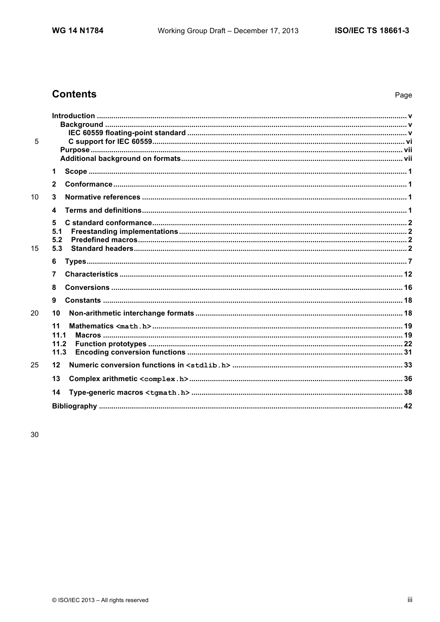# **Contents**

| 5  |                |  |
|----|----------------|--|
|    | 1              |  |
|    | $\overline{2}$ |  |
| 10 | 3              |  |
|    | 4              |  |
|    | 5              |  |
|    | 5.1            |  |
| 15 | 5.2<br>5.3     |  |
|    | 6              |  |
|    | 7              |  |
|    | 8              |  |
|    |                |  |
|    | 9              |  |
| 20 | 10             |  |
|    | 11             |  |
|    | 11.1<br>11.2   |  |
|    | 11.3           |  |
| 25 | 12             |  |
|    | 13             |  |
|    |                |  |
|    | 14             |  |
|    |                |  |
|    |                |  |

30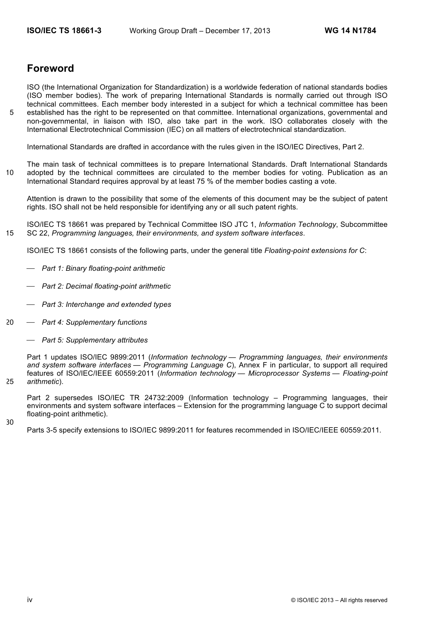# **Foreword**

ISO (the International Organization for Standardization) is a worldwide federation of national standards bodies (ISO member bodies). The work of preparing International Standards is normally carried out through ISO technical committees. Each member body interested in a subject for which a technical committee has been 5 established has the right to be represented on that committee. International organizations, governmental and non-governmental, in liaison with ISO, also take part in the work. ISO collaborates closely with the International Electrotechnical Commission (IEC) on all matters of electrotechnical standardization.

International Standards are drafted in accordance with the rules given in the ISO/IEC Directives, Part 2.

The main task of technical committees is to prepare International Standards. Draft International Standards 10 adopted by the technical committees are circulated to the member bodies for voting. Publication as an International Standard requires approval by at least 75 % of the member bodies casting a vote.

Attention is drawn to the possibility that some of the elements of this document may be the subject of patent rights. ISO shall not be held responsible for identifying any or all such patent rights.

ISO/IEC TS 18661 was prepared by Technical Committee ISO JTC 1, *Information Technology*, Subcommittee 15 SC 22, *Programming languages, their environments, and system software interfaces*.

ISO/IEC TS 18661 consists of the following parts, under the general title *Floating-point extensions for C*:

- ⎯ *Part 1: Binary floating-point arithmetic*
- ⎯ *Part 2: Decimal floating-point arithmetic*
- ⎯ *Part 3: Interchange and extended types*
- 20 ⎯ *Part 4: Supplementary functions*
	- ⎯ *Part 5: Supplementary attributes*

Part 1 updates ISO/IEC 9899:2011 (*Information technology — Programming languages, their environments and system software interfaces — Programming Language C*), Annex F in particular, to support all required features of ISO/IEC/IEEE 60559:2011 (*Information technology — Microprocessor Systems — Floating-point*  25 *arithmetic*).

Part 2 supersedes ISO/IEC TR 24732:2009 (Information technology – Programming languages, their environments and system software interfaces – Extension for the programming language C to support decimal floating-point arithmetic).

30

Parts 3-5 specify extensions to ISO/IEC 9899:2011 for features recommended in ISO/IEC/IEEE 60559:2011.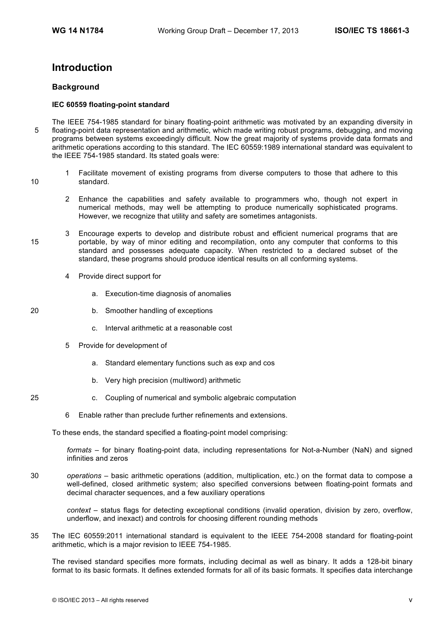# **Introduction**

## **Background**

## **IEC 60559 floating-point standard**

- The IEEE 754-1985 standard for binary floating-point arithmetic was motivated by an expanding diversity in 5 floating-point data representation and arithmetic, which made writing robust programs, debugging, and moving programs between systems exceedingly difficult. Now the great majority of systems provide data formats and arithmetic operations according to this standard. The IEC 60559:1989 international standard was equivalent to the IEEE 754-1985 standard. Its stated goals were:
- 1 Facilitate movement of existing programs from diverse computers to those that adhere to this 10 standard.
	- 2 Enhance the capabilities and safety available to programmers who, though not expert in numerical methods, may well be attempting to produce numerically sophisticated programs. However, we recognize that utility and safety are sometimes antagonists.
- 3 Encourage experts to develop and distribute robust and efficient numerical programs that are 15 portable, by way of minor editing and recompilation, onto any computer that conforms to this standard and possesses adequate capacity. When restricted to a declared subset of the standard, these programs should produce identical results on all conforming systems.
	- 4 Provide direct support for
		- a. Execution-time diagnosis of anomalies
- 20 b. Smoother handling of exceptions
	- c. Interval arithmetic at a reasonable cost
	- 5 Provide for development of
		- a. Standard elementary functions such as exp and cos
		- b. Very high precision (multiword) arithmetic
- 25 c. Coupling of numerical and symbolic algebraic computation
	- 6 Enable rather than preclude further refinements and extensions.

To these ends, the standard specified a floating-point model comprising:

*formats* – for binary floating-point data, including representations for Not-a-Number (NaN) and signed infinities and zeros

30 *operations* – basic arithmetic operations (addition, multiplication, etc.) on the format data to compose a well-defined, closed arithmetic system; also specified conversions between floating-point formats and decimal character sequences, and a few auxiliary operations

*context* – status flags for detecting exceptional conditions (invalid operation, division by zero, overflow, underflow, and inexact) and controls for choosing different rounding methods

35 The IEC 60559:2011 international standard is equivalent to the IEEE 754-2008 standard for floating-point arithmetic, which is a major revision to IEEE 754-1985.

The revised standard specifies more formats, including decimal as well as binary. It adds a 128-bit binary format to its basic formats. It defines extended formats for all of its basic formats. It specifies data interchange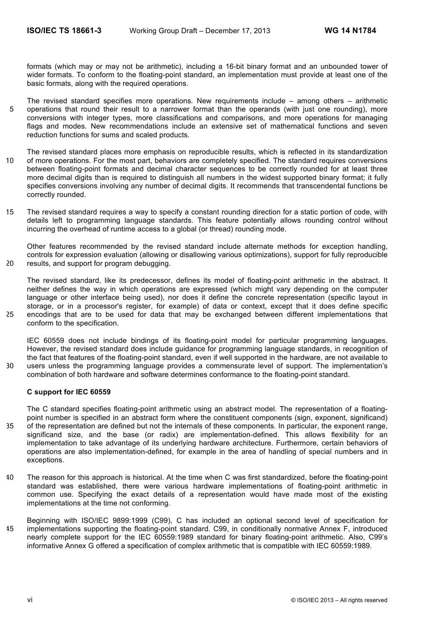formats (which may or may not be arithmetic), including a 16-bit binary format and an unbounded tower of wider formats. To conform to the floating-point standard, an implementation must provide at least one of the basic formats, along with the required operations.

- The revised standard specifies more operations. New requirements include among others arithmetic 5 operations that round their result to a narrower format than the operands (with just one rounding), more conversions with integer types, more classifications and comparisons, and more operations for managing flags and modes. New recommendations include an extensive set of mathematical functions and seven reduction functions for sums and scaled products.
- The revised standard places more emphasis on reproducible results, which is reflected in its standardization 10 of more operations. For the most part, behaviors are completely specified. The standard requires conversions between floating-point formats and decimal character sequences to be correctly rounded for at least three more decimal digits than is required to distinguish all numbers in the widest supported binary format; it fully specifies conversions involving any number of decimal digits. It recommends that transcendental functions be correctly rounded.
- 15 The revised standard requires a way to specify a constant rounding direction for a static portion of code, with details left to programming language standards. This feature potentially allows rounding control without incurring the overhead of runtime access to a global (or thread) rounding mode.

Other features recommended by the revised standard include alternate methods for exception handling, controls for expression evaluation (allowing or disallowing various optimizations), support for fully reproducible 20 results, and support for program debugging.

The revised standard, like its predecessor, defines its model of floating-point arithmetic in the abstract. It neither defines the way in which operations are expressed (which might vary depending on the computer language or other interface being used), nor does it define the concrete representation (specific layout in storage, or in a processor's register, for example) of data or context, except that it does define specific 25 encodings that are to be used for data that may be exchanged between different implementations that conform to the specification.

IEC 60559 does not include bindings of its floating-point model for particular programming languages. However, the revised standard does include guidance for programming language standards, in recognition of the fact that features of the floating-point standard, even if well supported in the hardware, are not available to 30 users unless the programming language provides a commensurate level of support. The implementation's combination of both hardware and software determines conformance to the floating-point standard.

#### **C support for IEC 60559**

The C standard specifies floating-point arithmetic using an abstract model. The representation of a floatingpoint number is specified in an abstract form where the constituent components (sign, exponent, significand) 35 of the representation are defined but not the internals of these components. In particular, the exponent range, significand size, and the base (or radix) are implementation-defined. This allows flexibility for an implementation to take advantage of its underlying hardware architecture. Furthermore, certain behaviors of operations are also implementation-defined, for example in the area of handling of special numbers and in exceptions.

- 40 The reason for this approach is historical. At the time when C was first standardized, before the floating-point standard was established, there were various hardware implementations of floating-point arithmetic in common use. Specifying the exact details of a representation would have made most of the existing implementations at the time not conforming.
- Beginning with ISO/IEC 9899:1999 (C99), C has included an optional second level of specification for 45 implementations supporting the floating-point standard. C99, in conditionally normative Annex F, introduced nearly complete support for the IEC 60559:1989 standard for binary floating-point arithmetic. Also, C99's informative Annex G offered a specification of complex arithmetic that is compatible with IEC 60559:1989.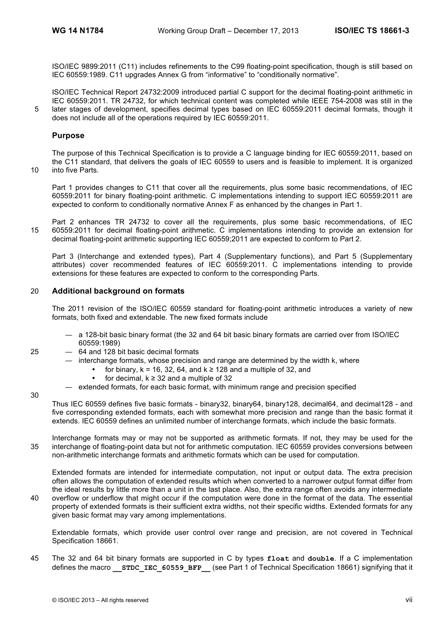ISO/IEC 9899:2011 (C11) includes refinements to the C99 floating-point specification, though is still based on IEC 60559:1989. C11 upgrades Annex G from "informative" to "conditionally normative".

ISO/IEC Technical Report 24732:2009 introduced partial C support for the decimal floating-point arithmetic in IEC 60559:2011. TR 24732, for which technical content was completed while IEEE 754-2008 was still in the 5 later stages of development, specifies decimal types based on IEC 60559:2011 decimal formats, though it does not include all of the operations required by IEC 60559:2011.

## **Purpose**

The purpose of this Technical Specification is to provide a C language binding for IEC 60559:2011, based on the C11 standard, that delivers the goals of IEC 60559 to users and is feasible to implement. It is organized 10 into five Parts.

Part 1 provides changes to C11 that cover all the requirements, plus some basic recommendations, of IEC 60559:2011 for binary floating-point arithmetic. C implementations intending to support IEC 60559:2011 are expected to conform to conditionally normative Annex F as enhanced by the changes in Part 1.

Part 2 enhances TR 24732 to cover all the requirements, plus some basic recommendations, of IEC 15 60559:2011 for decimal floating-point arithmetic. C implementations intending to provide an extension for decimal floating-point arithmetic supporting IEC 60559;2011 are expected to conform to Part 2.

Part 3 (Interchange and extended types), Part 4 (Supplementary functions), and Part 5 (Supplementary attributes) cover recommended features of IEC 60559:2011. C implementations intending to provide extensions for these features are expected to conform to the corresponding Parts.

## 20 **Additional background on formats**

The 2011 revision of the ISO/IEC 60559 standard for floating-point arithmetic introduces a variety of new formats, both fixed and extendable. The new fixed formats include

- a 128-bit basic binary format (the 32 and 64 bit basic binary formats are carried over from ISO/IEC 60559:1989)
- 25 64 and 128 bit basic decimal formats
	- interchange formats, whose precision and range are determined by the width k, where
		- for binary,  $k = 16$ , 32, 64, and  $k \ge 128$  and a multiple of 32, and
		- for decimal,  $k \geq 32$  and a multiple of 32
	- extended formats, for each basic format, with minimum range and precision specified

30

Thus IEC 60559 defines five basic formats - binary32, binary64, binary128, decimal64, and decimal128 - and five corresponding extended formats, each with somewhat more precision and range than the basic format it extends. IEC 60559 defines an unlimited number of interchange formats, which include the basic formats.

Interchange formats may or may not be supported as arithmetic formats. If not, they may be used for the 35 interchange of floating-point data but not for arithmetic computation. IEC 60559 provides conversions between non-arithmetic interchange formats and arithmetic formats which can be used for computation.

Extended formats are intended for intermediate computation, not input or output data. The extra precision often allows the computation of extended results which when converted to a narrower output format differ from the ideal results by little more than a unit in the last place. Also, the extra range often avoids any intermediate 40 overflow or underflow that might occur if the computation were done in the format of the data. The essential

property of extended formats is their sufficient extra widths, not their specific widths. Extended formats for any given basic format may vary among implementations.

Extendable formats, which provide user control over range and precision, are not covered in Technical Specification 18661.

45 The 32 and 64 bit binary formats are supported in C by types **float** and **double**. If a C implementation defines the macro **STDC IEC 60559 BFP** (see Part 1 of Technical Specification 18661) signifying that it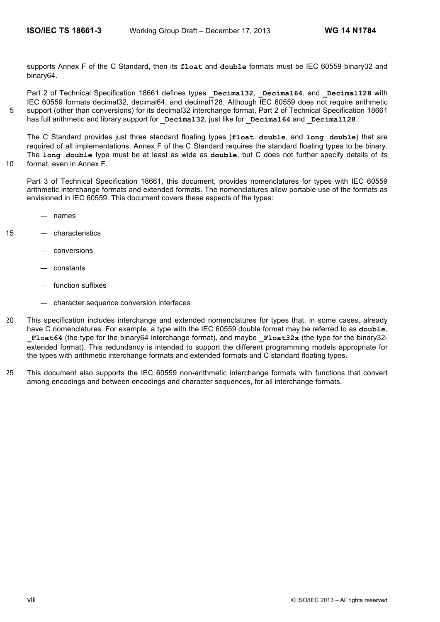supports Annex F of the C Standard, then its **float** and **double** formats must be IEC 60559 binary32 and binary64.

Part 2 of Technical Specification 18661 defines types **Decimal32**, **Decimal64**, and **Decimal128** with IEC 60559 formats decimal32, decimal64, and decimal128. Although IEC 60559 does not require arithmetic 5 support (other than conversions) for its decimal32 interchange format, Part 2 of Technical Specification 18661 has full arithmetic and library support for **Decimal32**, just like for **Decimal64** and **Decimal128**.

The C Standard provides just three standard floating types (**float**, **double**, and **long double**) that are required of all implementations. Annex F of the C Standard requires the standard floating types to be binary. The **long double** type must be at least as wide as **double**, but C does not further specify details of its 10 format, even in Annex F.

Part 3 of Technical Specification 18661, this document, provides nomenclatures for types with IEC 60559 arithmetic interchange formats and extended formats. The nomenclatures allow portable use of the formats as envisioned in IEC 60559. This document covers these aspects of the types:

- names
- 
- 15 characteristics
	- conversions
	- constants
	- function suffixes
	- character sequence conversion interfaces
- 20 This specification includes interchange and extended nomenclatures for types that, in some cases, already have C nomenclatures. For example, a type with the IEC 60559 double format may be referred to as **double**, **Float64** (the type for the binary64 interchange format), and maybe **Float32x** (the type for the binary32extended format). This redundancy is intended to support the different programming models appropriate for the types with arithmetic interchange formats and extended formats and C standard floating types.
- 25 This document also supports the IEC 60559 non-arithmetic interchange formats with functions that convert among encodings and between encodings and character sequences, for all interchange formats.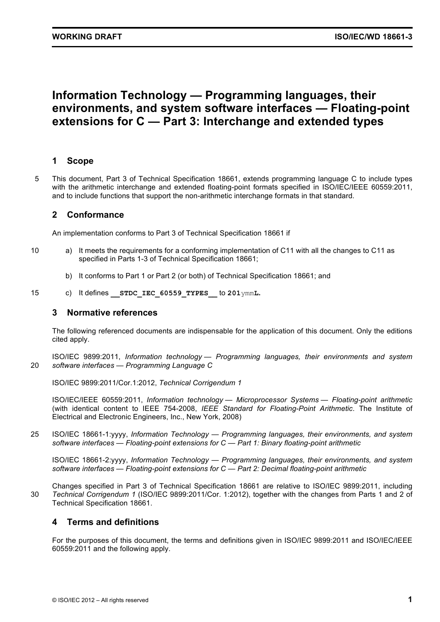# **Information Technology — Programming languages, their environments, and system software interfaces — Floating-point extensions for C — Part 3: Interchange and extended types**

# **1 Scope**

5 This document, Part 3 of Technical Specification 18661, extends programming language C to include types with the arithmetic interchange and extended floating-point formats specified in ISO/IEC/IEEE 60559:2011, and to include functions that support the non-arithmetic interchange formats in that standard.

# **2 Conformance**

An implementation conforms to Part 3 of Technical Specification 18661 if

- 10 a) It meets the requirements for a conforming implementation of C11 with all the changes to C11 as specified in Parts 1-3 of Technical Specification 18661;
	- b) It conforms to Part 1 or Part 2 (or both) of Technical Specification 18661; and
- 15 c) It defines **\_\_STDC\_IEC\_60559\_TYPES\_\_** to **201**ymm**L.**

# **3 Normative references**

The following referenced documents are indispensable for the application of this document. Only the editions cited apply.

ISO/IEC 9899:2011, *Information technology — Programming languages, their environments and system*  20 *software interfaces — Programming Language C*

ISO/IEC 9899:2011/Cor.1:2012, *Technical Corrigendum 1*

ISO/IEC/IEEE 60559:2011, *Information technology — Microprocessor Systems — Floating-point arithmetic* (with identical content to IEEE 754-2008, *IEEE Standard for Floating-Point Arithmetic*. The Institute of Electrical and Electronic Engineers, Inc., New York, 2008)

25 ISO/IEC 18661-1:yyyy, *Information Technology — Programming languages, their environments, and system software interfaces — Floating-point extensions for C — Part 1: Binary floating-point arithmetic*

ISO/IEC 18661-2:yyyy, *Information Technology — Programming languages, their environments, and system software interfaces — Floating-point extensions for C — Part 2: Decimal floating-point arithmetic*

Changes specified in Part 3 of Technical Specification 18661 are relative to ISO/IEC 9899:2011, including 30 *Technical Corrigendum 1* (ISO/IEC 9899:2011/Cor. 1:2012), together with the changes from Parts 1 and 2 of Technical Specification 18661.

# **4 Terms and definitions**

For the purposes of this document, the terms and definitions given in ISO/IEC 9899:2011 and ISO/IEC/IEEE 60559:2011 and the following apply.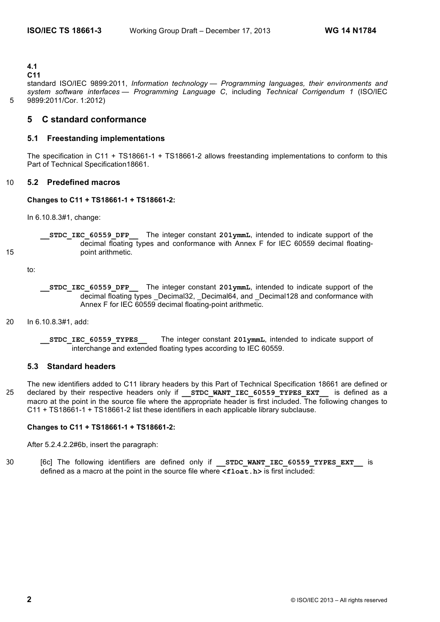**4.1**

## **C11**

standard ISO/IEC 9899:2011, *Information technology — Programming languages, their environments and system software interfaces — Programming Language C*, including *Technical Corrigendum 1* (ISO/IEC 5 9899:2011/Cor. 1:2012)

# **5 C standard conformance**

## **5.1 Freestanding implementations**

The specification in C11 + TS18661-1 + TS18661-2 allows freestanding implementations to conform to this Part of Technical Specification18661.

## 10 **5.2 Predefined macros**

## **Changes to C11 + TS18661-1 + TS18661-2:**

In 6.10.8.3#1, change:

**\_\_STDC\_IEC\_60559\_DFP\_\_** The integer constant **201ymmL**, intended to indicate support of the decimal floating types and conformance with Annex F for IEC 60559 decimal floating-15 **point arithmetic.** 

to:

- 20 In 6.10.8.3#1, add:
	- **\_\_STDC\_IEC\_60559\_TYPES\_\_** The integer constant **201ymmL**, intended to indicate support of interchange and extended floating types according to IEC 60559.

## **5.3 Standard headers**

The new identifiers added to C11 library headers by this Part of Technical Specification 18661 are defined or 25 declared by their respective headers only if **STDC WANT IEC 60559 TYPES EXT** is defined as a macro at the point in the source file where the appropriate header is first included. The following changes to C11 + TS18661-1 + TS18661-2 list these identifiers in each applicable library subclause.

## **Changes to C11 + TS18661-1 + TS18661-2:**

After 5.2.4.2.2#6b, insert the paragraph:

30 [6c] The following identifiers are defined only if **\_\_STDC\_WANT\_IEC\_60559\_TYPES\_EXT\_\_** is defined as a macro at the point in the source file where **<float.h>** is first included:

**\_\_STDC\_IEC\_60559\_DFP\_\_** The integer constant **201ymmL**, intended to indicate support of the decimal floating types \_Decimal32, \_Decimal64, and \_Decimal128 and conformance with Annex F for IEC 60559 decimal floating-point arithmetic.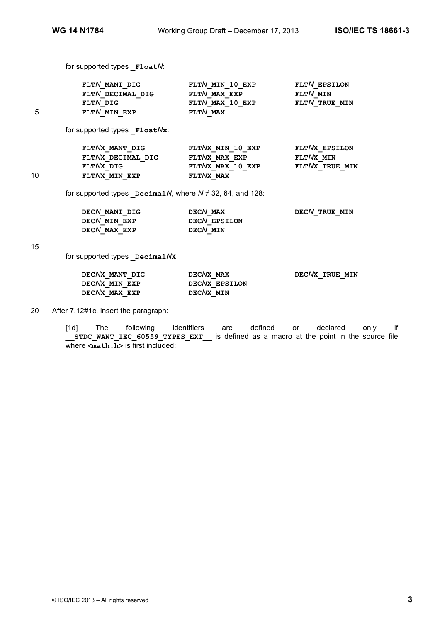for supported types **\_Float***N*:

|    | FLTN MANT DIG    | FLTN MIN 10 EXP      | FLTN EPSILON  |
|----|------------------|----------------------|---------------|
|    | FLTN DECIMAL DIG | FLTN MAX EXP         | FLTN MIN      |
|    | FLTN DIG         | $FLT$ $N$ MAX 10 EXP | FLTN TRUE MIN |
| г. | FLTN MIN EXP     | $FLT$ $N$ MAX        |               |

for supported types **\_Float***N***x**:

|    | FLTNX MANT DIG    | FLTNX MIN 10 EXP    | FLTNX EPSILON  |
|----|-------------------|---------------------|----------------|
|    | FLTNX DECIMAL DIG | FLTNX MAX EXP       | FLTNX MIN      |
|    | FLTNX DIG         | $FLT/XX$ MAX 10 EXP | FLTNX TRUE MIN |
| 10 | FLTNX MIN EXP     | FLTNX MAX           |                |

for supported types **\_Decimal***N*, where *N* ≠ 32, 64, and 128:

| DECN MANT DIG | DECN MAX     | DECN TRUE MIN |
|---------------|--------------|---------------|
| DECN MIN EXP  | DECN EPSILON |               |
| DECN MAX EXP  | DECN MIN     |               |

15

for supported types **\_Decimal***N***X**:

| DECNX MANT DIG | DECNX MAX     | DECNX TRUE MIN |
|----------------|---------------|----------------|
| DECNX MIN EXP  | DECNX EPSILON |                |
| DECNX MAX EXP  | DECNX MIN     |                |

20 After 7.12#1c, insert the paragraph:

[1d] The following identifiers are defined or declared only if **\_\_STDC\_WANT\_IEC\_60559\_TYPES\_EXT\_\_** is defined as a macro at the point in the source file where  $\leq$ **math.h**> is first included: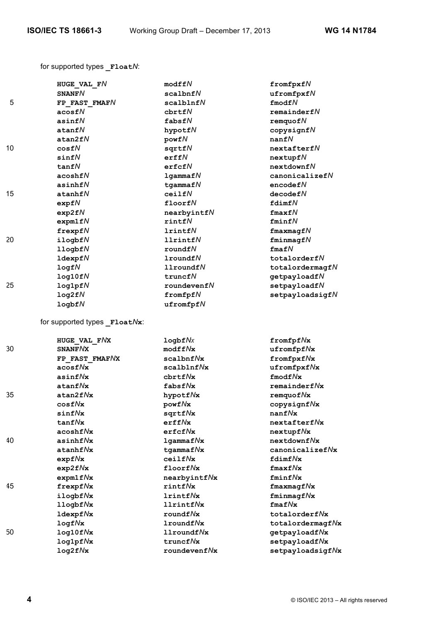for supported types **\_Float***N*:

|    | HUGE VAL FN                  | modffN                    | fromfpxfN                   |
|----|------------------------------|---------------------------|-----------------------------|
|    | <b>SNANFN</b>                | scalbnfN                  | $u$ fromfpxf $N$            |
| 5  | FP FAST FMAFN                | scalblnfN                 | fmodfN                      |
|    | acosfN                       | chrtfN                    | remainderfN                 |
|    | asinf $N$                    | fabsfN                    | remquot N                   |
|    | atanfN                       | hypotfN                   | copysignfN                  |
|    | atan2fN                      | powfN                     | nanfN                       |
| 10 | cosfN                        | sqrtfN                    | nextafterfN                 |
|    | sinfN                        | erffN                     | nextupfN                    |
|    | tan fN                       | erfcfN                    | nextdownfN                  |
|    | acosh fN                     | lgamma fN                 | $canonicalize$ f $N$        |
|    | asinhf $N$                   | $t$ gammaf $N$            | encodefN                    |
| 15 | atanhfN                      | ceilfN                    | decodefN                    |
|    | expfN                        | floorfN                   | fdimfN                      |
|    | exp2fN                       | nearbyintfN               | $f$ max $f$ N               |
|    | expm1fN                      | rintN                     | fminfN                      |
|    | $f$ rexp $fN$                | lrintfN                   | $f$ maxmagf $N$             |
| 20 | ilogbfN                      | <b>llrintfN</b>           | fminmapfN                   |
|    | $11$ ogbf $N$                | roundfN                   | $f$ maf $N$                 |
|    | $1$ dexpf $N$                | $1$ roundf $N$            | totalorderfN                |
|    | logfN                        | 11roundfN                 | totalordermagfN             |
|    | log10fN                      | truncfN                   | getpayloadfN                |
| 25 | log1pfN                      | roundeventN               | setpayloadfN                |
|    | log2fN                       | $from f$                  | setpayloadsigfN             |
|    | logbfN                       | ufromfpfN                 |                             |
|    | for supported types FloatNx: |                           |                             |
|    | HUGE VAL FNX                 | logbf Nx                  | $from f Nx$                 |
| 30 | SNANF NX                     | $\text{modffNx}$          | ufromfpfNx                  |
|    | FP FAST FMAFNX               | $\verb scalbnf  \verb % $ | fromfpxfNx                  |
|    | $\frac{1}{2}$                | scalblnfNx                | ufromfpxfNx                 |
|    | asinf Nx                     | ${\tt chrtf}$ //x         | $fmodf$ / $\mathbf{x}$      |
|    | atanfNx                      | fabsfNx                   | $remainederf$ $Nx$          |
| 35 | atan2fNx                     | hypotfNx                  | remquof Nx                  |
|    | cos f Nx                     | powfNx                    | copysignfNx                 |
|    | sinf Nx                      | sqrtfNx                   | nanfNx                      |
|    | $tan f$ $Nx$                 | erffNx                    | nextafterfNx                |
|    | $acoshf$ <sub>X</sub>        | $erfcf$ $Nx$              | nextupfNx                   |
| 40 | $asinhf$ / $Nx$              | $lgammaf$ / $x$           | $nextdownf$ / $\mathcal{N}$ |
|    | $atanhf$ $Nx$                | $t$ gammaf $N$ x          | $canonicalize f$ /x         |
|    | expf Nx                      | ceilfNx                   | $fdimf$ / $\mathbf{x}$      |
|    | exp2f Nx                     | floorfNx                  | fmaxf/Nx                    |
|    | expm1fNx                     | nearbyintfNx              | fminf/Nx                    |
| 45 | frexpfNx                     | rintfNx                   | $f$ maxmag $f$ Nx           |
|    | ilogbfNx                     | <b>lrintfNx</b>           | fminmagf/Nx                 |
|    | $11$ ogbf $Nx$               | $11$ rintf $N$ x          | $f$ maf $N$ x               |
|    | $1$ dexp $f$ $Nx$            | $roundf$ <i>N</i> x       | totalorderfNx               |
|    | $logf$ $Nx$                  | $1$ roundf $N$ x          | totalordermagfNx            |
| 50 | $log10f$ / $x$               | 11roundfNx                | getpayloadfNx               |
|    | log1pfNx                     | truncfNx                  | setpayloadfNx               |
|    | $log2f$ <i>N</i> x           | roundeventNx              | setpayloadsigfNx            |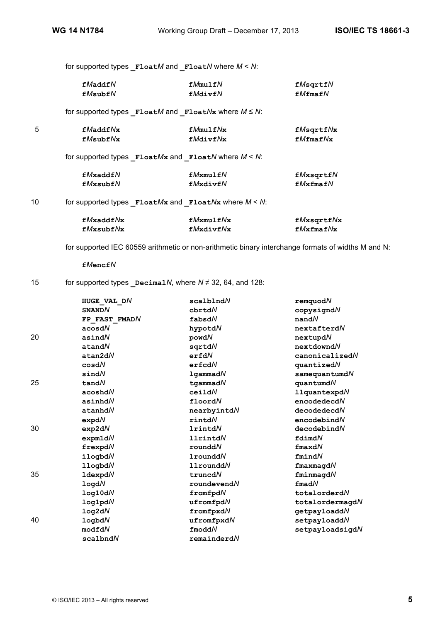|    |           | for supported types $F$ loat $M$ and $F$ loat $N$ where $M < N$ :                        |           |
|----|-----------|------------------------------------------------------------------------------------------|-----------|
|    | fMaddfN   | fMmu1fN                                                                                  | fMsqrt    |
|    | fMsubfN   | fMdivfN                                                                                  | fMfmafN   |
|    |           | for supported types $\mathbf{F1oat}M$ and $\mathbf{F1oat}N\mathbf{x}$ where $M \leq N$ : |           |
| 5  | fMaddfNx  | fMmu1fNx                                                                                 | fMsqrt    |
|    | fMsubfNx  | fMdivfNx                                                                                 | fMfmafNx  |
|    |           | for supported types $F$ loat $Mx$ and $F$ loat $N$ where $M < N$ :                       |           |
|    | fMxaddfN  | $fM$ xmulf $N$                                                                           | fMxsqrtfN |
|    | fMxsubfN  | fMxdivfN                                                                                 | fMxfmafN  |
| 10 |           | for supported types $F$ loat $Mx$ and $F$ loat $Nx$ where $M < N$ :                      |           |
|    | fMxaddfNx | fMxmu1fNx                                                                                | fMxsqrt   |
|    | fMxsubfNx | fMxdivfNx                                                                                | fMxfmafNx |

for supported IEC 60559 arithmetic or non-arithmetic binary interchange formats of widths M and N:

**f***M***encf***N*

# 15 for supported types **\_Decimal***N*, where *N* ≠ 32, 64, and 128:

|    |                               | $scal$ blnd $N$  | remquodN            |
|----|-------------------------------|------------------|---------------------|
|    | HUGE VAL DN<br><b>SNAND</b> N | cbrtdN           |                     |
|    |                               |                  | $copy$ signd $N$    |
|    | FP FAST FMADN                 | fabsdN           | $n$ and $N$         |
|    | acosdN                        | hypotdN          | nextafterdN         |
| 20 | asindN                        | powdN            | nextupdN            |
|    | atandN                        | sqrtdN           | nextdowndN          |
|    | atan2dN                       | erfdN            | canonicalizedN      |
|    | cosdN                         | erfcdN           | quantizedN          |
|    | sindN                         | $1$ qammad $N$   | $s$ amequantumd $N$ |
| 25 | tan dN                        | $t$ qammad $N$   | $quant$ umd $N$     |
|    | acoshdN                       | ceildN           | $11$ quantexpd $N$  |
|    | asinhdN                       | floordN          | encodedecdN         |
|    | atanhdN                       | nearbyintdN      | decodedecdN         |
|    | expdN                         | rintdN           | encodebindN         |
| 30 | exp2dN                        | <b>1rintdN</b>   | decodebindN         |
|    | expm1dN                       | <b>llrintdN</b>  | fdimdN              |
|    | frexpdN                       | rounddN          | $f$ maxd $N$        |
|    | ilogbdN                       | <b>1roundd</b> N | fmindN              |
|    | 11ogbdN                       | $11$ roundd $N$  | $f$ maxmagd $N$     |
| 35 | 1dexpdN                       | truncdN          | fminmagdN           |
|    | log dN                        | roundevendN      | $f$ mad $N$         |
|    | log10dN                       | fromfpdN         | totalorderdN        |
|    | log1 <sub>pd</sub> N          | ufromfpdN        | totalordermagdN     |
|    | log2dN                        | fromfpxdN        | getpayloaddN        |
| 40 | logbdN                        | ufromfpxdN       | setpayloaddN        |
|    | modfdN                        | $f$ modd $N$     | setpayloadsigdN     |
|    | scalbndN                      | remainederdN     |                     |
|    |                               |                  |                     |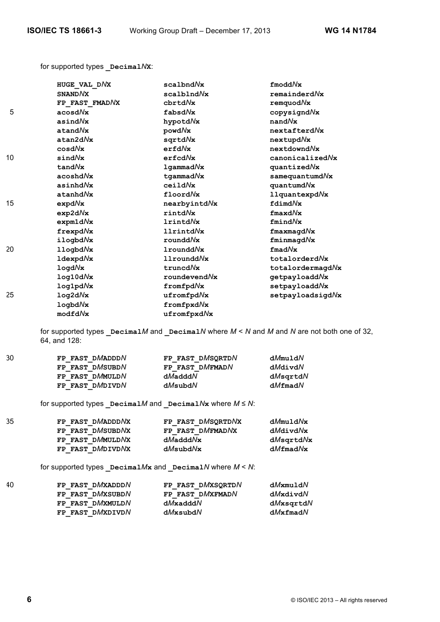for supported types **\_Decimal***N***X**:

|    | HUGE VAL DNX     | scalbndNx        | $f$ modd $N$ x        |
|----|------------------|------------------|-----------------------|
|    | <b>SNAND</b> NX  | scalblndNx       | remained              |
|    | FP FAST FMADNX   | chrtdNx          | remquodNx             |
| 5  | acosdNx          | fabsdNx          | copysigndNx           |
|    | asindNx          | hypotdNx         | $n$ and $N$ x         |
|    | atandNx          | powdNx           | nextafterdNx          |
|    | atan2dNx         | sartdNx          | nextupdNx             |
|    | cos dNx          | erfdNx           | nextdowndNx           |
| 10 | sindNx           | erfcdNx          | canonicalizedNx       |
|    | tandNx           | $1$ gammad $N$ x | quantizedNx           |
|    | acosh dNx        | $t$ qammad $N$ x | $s$ amequantumd $N$ x |
|    | asinh dNx        | ceildNx          | quantumdNx            |
|    | atanhdNx         | floordNx         | $11$ quantexpd $N$ x  |
| 15 | expdNx           | nearbyintdNx     | fdimdNx               |
|    | exp2dNx          | rintdNx          | $\texttt{fmaxd}N$ x   |
|    | expm1dNx         | lrintdNx         | fmindNx               |
|    | frexpdNx         | 11rintdNx        | $f$ maxmagd $N$ x     |
|    | ilogbdNx         | rounddNx         | fminmagdNx            |
| 20 | 11ogbdNx         | $1$ roundd $Nx$  | $f$ mad $N$ x         |
|    | 1dexpd//x        | 11rounddNx       | totalorderdNx         |
|    | log dNx          | truncdNx         | totalordermagdNx      |
|    | $log10d\sqrt{x}$ | roundevendNx     | getpayloaddNx         |
|    | log1pdNx         | fromfpdNx        | setpayloaddNx         |
| 25 | log2dNx          | ufromfpdNx       | setpayloadsigdNx      |
|    | logbdNx          | fromfpxdNx       |                       |
|    | modfdNx          | ufromfpxdNx      |                       |
|    |                  |                  |                       |

for supported types **\_Decimal***M* and **\_Decimal***N* where *M* < *N* and *M* and *N* are not both one of 32, 64, and 128:

| 30 | FP FAST DMADDDN | FP FAST DMSQRTDN | dMmuldN  |
|----|-----------------|------------------|----------|
|    | FP FAST DMSUBDN | FP FAST DMFMADN  | dMdivdN  |
|    | FP FAST DMMULDN | dMadddN          | dMsgrtdN |
|    | FP FAST DMDIVDN | dMsubdN          | dMfmadN  |

for supported types  $DecimalM$  and  $DecimalNx$  where  $M \le N$ :

| 35 | FP FAST DMADDDNX | FP FAST DMSORTDNX | dMmuldNx        |
|----|------------------|-------------------|-----------------|
|    | FP FAST DMSUBDNX | FP FAST DMFMADNX  | dMdivdNx        |
|    | FP FAST DMMULDNX | $dM$ add $dN$ x   | dMsgrtdNx       |
|    | FP FAST DMDIVDNX | dMsubdNx          | $dM$ fmad $N$ x |

for supported types **\_Decimal***M***x** and **\_Decimal***N* where *M* < *N*:

| FP FAST DMXADDDN | FP FAST DMXSORTDN | dMxmuldN       |
|------------------|-------------------|----------------|
| FP FAST DMXSUBDN | FP FAST DMXFMADN  | dMxdivdN       |
| FP FAST DMXMULDN | $dM$ xaddd $N$    | dMxsqrtdN      |
| FP FAST DMXDIVDN | dMxsubdN          | $dMx$ fmad $N$ |
|                  |                   |                |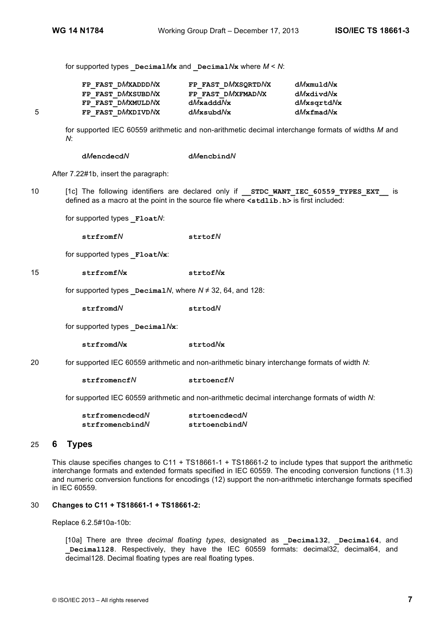for supported types  $DecimalMx$  and  $DecimalNx$  where  $M < N$ :

|    | FP FAST DMXADDDNX | FP FAST DMXSORTDNX | dMxmuldNx       |
|----|-------------------|--------------------|-----------------|
|    | FP FAST DMXSUBDNX | FP FAST DMXFMADNX  | dMxdivdNx       |
|    | FP FAST DMXMULDNX | $dM$ xaddd $N$ x   | dMxsqrtdNx      |
| г. | FP FAST DMXDIVDNX | dMxsubdNx          | $dMx$ fmad $Nx$ |

for supported IEC 60559 arithmetic and non-arithmetic decimal interchange formats of widths *M* and *N*:

| dMencdecdN | dMencbindN |
|------------|------------|
|------------|------------|

After 7.22#1b, insert the paragraph:

10 [1c] The following identifiers are declared only if **STDC WANT IEC 60559 TYPES EXT** is defined as a macro at the point in the source file where **<stdlib.h>** is first included:

for supported types **\_Float***N*:

**strfromf***N* **strtof***N*

for supported types **\_Float***N***x**:

15 **strfromf***N***x strtof***N***x**

for supported types  $\Delta P$  **Decimal***N*, where  $N \neq 32$ , 64, and 128:

**strfromd***N* **strtod***N*

for supported types **Decimal** $N$ **x**:

**strfromd***N***x strtod***N***x**

20 for supported IEC 60559 arithmetic and non-arithmetic binary interchange formats of width *N*:

**strfromencf***N* **strtoencf***N*

for supported IEC 60559 arithmetic and non-arithmetic decimal interchange formats of width *N*:

| strfromencdecdN | strtoencdecdN    |
|-----------------|------------------|
| strfromencbindN | strtoencbind $N$ |

## 25 **6 Types**

This clause specifies changes to C11 + TS18661-1 + TS18661-2 to include types that support the arithmetic interchange formats and extended formats specified in IEC 60559. The encoding conversion functions (11.3) and numeric conversion functions for encodings (12) support the non-arithmetic interchange formats specified in IEC 60559.

## 30 **Changes to C11 + TS18661-1 + TS18661-2:**

Replace 6.2.5#10a-10b:

[10a] There are three *decimal floating types*, designated as **Decimal32**, **Decimal64**, and **\_Decimal128**. Respectively, they have the IEC 60559 formats: decimal32, decimal64, and decimal128. Decimal floating types are real floating types.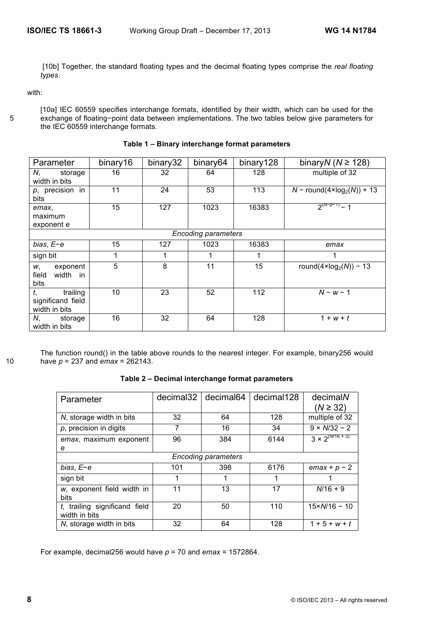[10b] Together, the standard floating types and the decimal floating types comprise the *real floating types*.

with:

[10a] IEC 60559 specifies interchange formats, identified by their width, which can be used for the 5 exchange of floating−point data between implementations. The two tables below give parameters for the IEC 60559 interchange formats.

| Parameter                                            | binary16 | binary32 | binary64                   | binary128 | binary $N (N \ge 128)$                   |
|------------------------------------------------------|----------|----------|----------------------------|-----------|------------------------------------------|
| N,<br>storage<br>width in bits                       | 16       | 32       | 64                         | 128       | multiple of 32                           |
| $p$ , precision in<br>bits                           | 11       | 24       | 53                         | 113       | $N$ – round(4×log <sub>2</sub> (N)) + 13 |
| emax,<br>maximum<br>exponent e                       | 15       | 127      | 1023                       | 16383     | $2^{(N-p-1)}-1$                          |
|                                                      |          |          | <b>Encoding parameters</b> |           |                                          |
| $bias, E-e$                                          | 15       | 127      | 1023                       | 16383     | emax                                     |
| sign bit                                             |          | 1        |                            |           | 1                                        |
| exponent<br>w,<br>width<br>field<br>in<br>bits       | 5        | 8        | 11                         | 15        | round( $4 \times \log_2(N)$ ) – 13       |
| t,<br>trailing<br>significand field<br>width in bits | 10       | 23       | 52                         | 112       | $N - w - 1$                              |
| N.<br>storage<br>width in bits                       | 16       | 32       | 64                         | 128       | $1 + w + t$                              |

**Table 1 – Binary interchange format parameters**

The function round() in the table above rounds to the nearest integer. For example, binary256 would 10 have *p* = 237 and *emax* = 262143.

**Table 2 – Decimal interchange format parameters**

| Parameter                                         | decimal32                  | decimal64 | decimal128 | decimalN<br>$(N \ge 32)$ |  |
|---------------------------------------------------|----------------------------|-----------|------------|--------------------------|--|
| N, storage width in bits                          | 32                         | 64        | 128        | multiple of 32           |  |
| $p$ , precision in digits                         | 7                          | 16        | 34         | $9 \times N/32 - 2$      |  |
| emax, maximum exponent<br>е                       | 96                         | 384       | 6144       | $3 \times 2^{(N/16+3)}$  |  |
|                                                   | <b>Encoding parameters</b> |           |            |                          |  |
| bias, $E-e$                                       | 101                        | 398       | 6176       | $emax + p - 2$           |  |
| sign bit                                          |                            |           |            |                          |  |
| w, exponent field width in<br>bits                | 11                         | 13        | 17         | $N/16 + 9$               |  |
| $t$ , trailing significand field<br>width in bits | 20                         | 50        | 110        | $15 \times N/16 - 10$    |  |
| N, storage width in bits                          | 32                         | 64        | 128        | $1 + 5 + w + t$          |  |

For example, decimal256 would have *p* = 70 and *emax* = 1572864.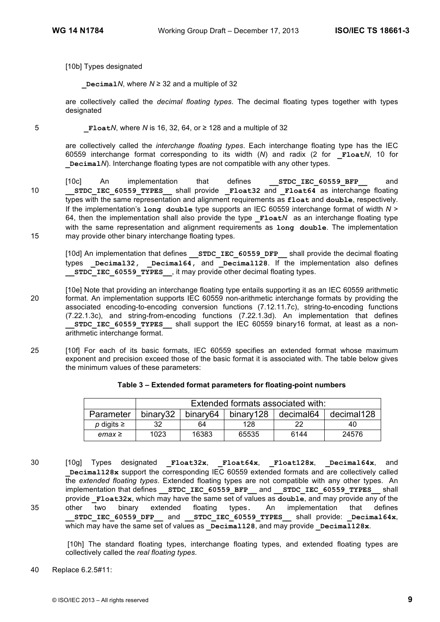[10b] Types designated

**\_Decimal***N*, where *N* ≥ 32 and a multiple of 32

are collectively called the *decimal floating types*. The decimal floating types together with types designated

5 **\_Float***N*, where *N* is 16, 32, 64, or ≥ 128 and a multiple of 32

are collectively called the *interchange floating types*. Each interchange floating type has the IEC 60559 interchange format corresponding to its width (*N*) and radix (2 for **\_Float***N*, 10 for **\_Decimal***N*). Interchange floating types are not compatible with any other types.

[10c] An implementation that defines **\_\_STDC\_IEC\_60559\_BFP\_\_** and 10 **STDC IEC 60559 TYPES** shall provide **Float32** and **Float64** as interchange floating types with the same representation and alignment requirements as **float** and **double**, respectively. If the implementation's **long double** type supports an IEC 60559 interchange format of width *N* > 64, then the implementation shall also provide the type **Float***N* as an interchange floating type with the same representation and alignment requirements as **long double**. The implementation 15 may provide other binary interchange floating types.

[10d] An implementation that defines **\_\_STDC\_IEC\_60559\_DFP\_\_** shall provide the decimal floating types **Decimal32, Decimal64, and Decimal128**. If the implementation also defines **STDC\_IEC\_60559\_TYPES** it may provide other decimal floating types.

[10e] Note that providing an interchange floating type entails supporting it as an IEC 60559 arithmetic 20 format. An implementation supports IEC 60559 non-arithmetic interchange formats by providing the associated encoding-to-encoding conversion functions (7.12.11.7c), string-to-encoding functions (7.22.1.3c), and string-from-encoding functions (7.22.1.3d). An implementation that defines **\_\_STDC\_IEC\_60559\_TYPES\_\_** shall support the IEC 60559 binary16 format, at least as a nonarithmetic interchange format.

25 [10f] For each of its basic formats, IEC 60559 specifies an extended format whose maximum exponent and precision exceed those of the basic format it is associated with. The table below gives the minimum values of these parameters:

|                  | Extended formats associated with: |                      |           |           |            |
|------------------|-----------------------------------|----------------------|-----------|-----------|------------|
| Parameter        | binary32                          | binary <sub>64</sub> | binary128 | decimal64 | decimal128 |
| $p$ digits $\ge$ | 32                                | 64                   | 128       | 22        | 40         |
| $emax \geq$      | 1023                              | 16383                | 65535     | 6144      | 24576      |

| Table 3 - Extended format parameters for floating-point numbers |  |  |
|-----------------------------------------------------------------|--|--|
|                                                                 |  |  |

30 [10g] Types designated **\_Float32x**, **\_Float64x**, **\_Float128x**, **\_Decimal64x**, and **\_Decimal128x** support the corresponding IEC 60559 extended formats and are collectively called the *extended floating types*. Extended floating types are not compatible with any other types. An implementation that defines **STDC\_IEC\_60559\_BFP** and **STDC\_IEC\_60559\_TYPES** shall provide **\_Float32x**, which may have the same set of values as **double**, and may provide any of the 35 other two binary extended floating types**.** An implementation that defines **\_\_STDC\_IEC\_60559\_DFP\_\_** and **\_\_STDC\_IEC\_60559\_TYPES\_\_** shall provide: **\_Decimal64x**, which may have the same set of values as **Decimal128**, and may provide **Decimal128x**.

[10h] The standard floating types, interchange floating types, and extended floating types are collectively called the *real floating types*.

40 Replace 6.2.5#11: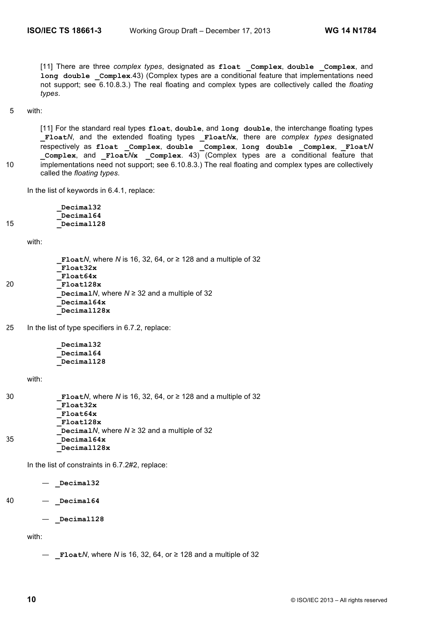[11] There are three *complex types*, designated as **float \_Complex**, **double \_Complex**, and **long double \_Complex**.43) (Complex types are a conditional feature that implementations need not support; see 6.10.8.3.) The real floating and complex types are collectively called the *floating types*.

#### 5 with:

[11] For the standard real types **float**, **double**, and **long double**, the interchange floating types **\_Float***N*, and the extended floating types **\_Float***N***x**, there are *complex types* designated respectively as **float \_Complex**, **double \_Complex**, **long double \_Complex**, **\_Float***N* **\_Complex**, and **\_Float***N***x \_Complex**. 43) (Complex types are a conditional feature that 10 implementations need not support; see 6.10.8.3.) The real floating and complex types are collectively called the *floating types*.

In the list of keywords in 6.4.1, replace:

**\_Decimal32 \_Decimal64** 15 **\_Decimal128**

with:

|    | <b>FloatN, where N is 16, 32, 64, or <math>\geq</math> 128 and a multiple of 32</b> |
|----|-------------------------------------------------------------------------------------|
|    | Float32x                                                                            |
|    | Float64x                                                                            |
| 20 | Float128x                                                                           |
|    | Decimal N, where $N \ge 32$ and a multiple of 32                                    |
|    | Decimal64x                                                                          |
|    | Decimal128x                                                                         |
|    |                                                                                     |

25 In the list of type specifiers in 6.7.2, replace:

**\_Decimal32 \_Decimal64 \_Decimal128**

with:

| 30 | FloatN, where N is 16, 32, 64, or $\ge$ 128 and a multiple of 32 |
|----|------------------------------------------------------------------|
|    | Float32x                                                         |
|    | Float64x                                                         |
|    | Float128x                                                        |
|    | Decimal N, where $N \ge 32$ and a multiple of 32                 |
| 35 | Decimal64x                                                       |
|    | Decimal128x                                                      |

In the list of constraints in 6.7.2#2, replace:

— **\_Decimal32**

40 — **\_Decimal64**

— **\_Decimal128**

with:

— **\_Float***N*, where *N* is 16, 32, 64, or ≥ 128 and a multiple of 32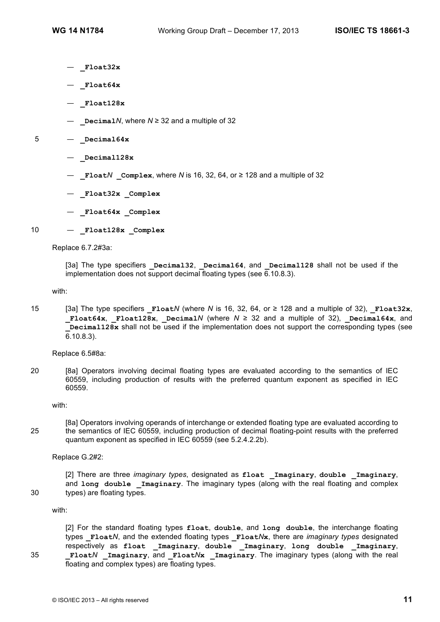- **\_Float32x**
- **\_Float64x**
- **\_Float128x**
- **\_Decimal***N*, where *N* ≥ 32 and a multiple of 32
- 5 **\_Decimal64x**
	- **\_Decimal128x**
	- **\_Float***N* **\_Complex**, where *N* is 16, 32, 64, or ≥ 128 and a multiple of 32
	- **\_Float32x \_Complex**
	- **\_Float64x \_Complex**
- 10  $-$  **Float128x Complex**

Replace 6.7.2#3a:

[3a] The type specifiers **\_Decimal32**, **\_Decimal64**, and **\_Decimal128** shall not be used if the implementation does not support decimal floating types (see  $\overline{6}$ , 10.8.3).

with:

15 [3a] The type specifiers **\_Float***N* (where *N* is 16, 32, 64, or ≥ 128 and a multiple of 32), **\_Float32x**, **Float64x, Float128x, Decimal/** (where  $N \ge 32$  and a multiple of 32), Decimal64x, and **Decimal128x** shall not be used if the implementation does not support the corresponding types (see 6.10.8.3).

Replace 6.5#8a:

20 [8a] Operators involving decimal floating types are evaluated according to the semantics of IEC 60559, including production of results with the preferred quantum exponent as specified in IEC 60559.

with:

[8a] Operators involving operands of interchange or extended floating type are evaluated according to 25 the semantics of IEC 60559, including production of decimal floating-point results with the preferred quantum exponent as specified in IEC 60559 (see 5.2.4.2.2b).

Replace G.2#2:

[2] There are three *imaginary types*, designated as **float \_Imaginary**, **double \_Imaginary**, and long double Imaginary. The imaginary types (along with the real floating and complex 30 types) are floating types.

with:

[2] For the standard floating types **float**, **double**, and **long double**, the interchange floating types **\_Float***N*, and the extended floating types **\_Float***N***x**, there are *imaginary types* designated respectively as **float \_Imaginary**, **double \_Imaginary**, **long double \_Imaginary**, 35 **\_Float***N* **\_Imaginary**, and **\_Float***N***x \_Imaginary**. The imaginary types (along with the real floating and complex types) are floating types.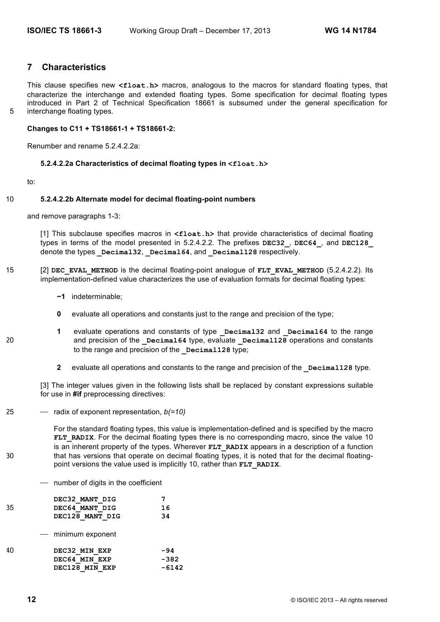# **7 Characteristics**

This clause specifies new **<float.h>** macros, analogous to the macros for standard floating types, that characterize the interchange and extended floating types. Some specification for decimal floating types introduced in Part 2 of Technical Specification 18661 is subsumed under the general specification for 5 interchange floating types.

**Changes to C11 + TS18661-1 + TS18661-2:**

Renumber and rename 5.2.4.2.2a:

#### **5.2.4.2.2a Characteristics of decimal floating types in <float.h>**

to:

## 10 **5.2.4.2.2b Alternate model for decimal floating-point numbers**

and remove paragraphs 1-3:

[1] This subclause specifies macros in <float.h> that provide characteristics of decimal floating types in terms of the model presented in 5.2.4.2.2. The prefixes **DEC32\_**, **DEC64\_**, and **DEC128\_** denote the types **Decimal32**, **Decimal64**, and **Decimal128** respectively.

- 15 [2] **DEC\_EVAL\_METHOD** is the decimal floating-point analogue of **FLT\_EVAL\_METHOD** (5.2.4.2.2). Its implementation-defined value characterizes the use of evaluation formats for decimal floating types:
	- **−1** indeterminable;
	- **0** evaluate all operations and constants just to the range and precision of the type;
- **1** evaluate operations and constants of type **Decimal32** and **Decimal64** to the range 20 and precision of the **Decimal64** type, evaluate **Decimal128** operations and constants to the range and precision of the **Decimal128** type;
	- **2** evaluate all operations and constants to the range and precision of the **Decimal128** type.

[3] The integer values given in the following lists shall be replaced by constant expressions suitable for use in **#if** preprocessing directives:

25 ⎯ radix of exponent representation, *b(=10)*

For the standard floating types, this value is implementation-defined and is specified by the macro **FLT\_RADIX.** For the decimal floating types there is no corresponding macro, since the value 10 is an inherent property of the types. Wherever **FLT** RADIX appears in a description of a function 30 that has versions that operate on decimal floating types, it is noted that for the decimal floatingpoint versions the value used is implicitly 10, rather than **FLT** RADIX.

⎯ number of digits in the coefficient

|    | DEC32 MANT DIG     |         |
|----|--------------------|---------|
| 35 | DEC64 MANT DIG     | 16      |
|    | DEC128 MANT DIG    | 34      |
|    | — minimum exponent |         |
| 40 | DEC32 MIN EXP      | -94     |
|    | DEC64 MIN EXP      | $-382$  |
|    | DEC128 MIN EXP     | $-6142$ |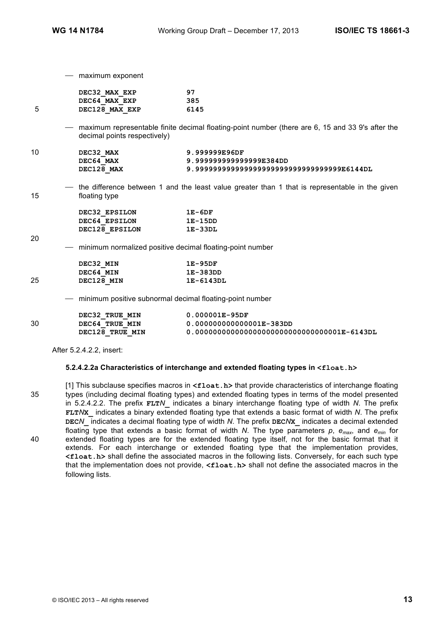- maximum exponent

|    | DEC32 MAX EXP                | 97                                                                                                 |
|----|------------------------------|----------------------------------------------------------------------------------------------------|
|    | DEC64 MAX EXP                | 385                                                                                                |
| 5  | DEC128 MAX EXP               | 6145                                                                                               |
|    | decimal points respectively) | - maximum representable finite decimal floating-point number (there are 6, 15 and 33 9's after the |
| 10 | DEC32 MAX                    | 9.999999E96DF                                                                                      |
|    | DEC64 MAX                    | 9.999999999999999E384DD                                                                            |
|    | DEC128 MAX                   | 9.99999999999999999999999999999999999E6144DL                                                       |
| 15 | floating type                | - the difference between 1 and the least value greater than 1 that is representable in the given   |
|    | DEC32 EPSILON                | $1E-6DF$                                                                                           |
|    | DEC64 EPSILON                | $1E-15DD$                                                                                          |
|    | DEC128 EPSILON               | $1E-33DL$                                                                                          |
| 20 |                              | - minimum normalized positive decimal floating-point number                                        |
|    | DEC32 MIN                    | $1E-95DF$                                                                                          |
|    | DEC64 MIN                    | 1E-383DD                                                                                           |
| 25 | DEC128 MIN                   | 1E-6143DL                                                                                          |
|    |                              | - minimum positive subnormal decimal floating-point number                                         |
|    | DEC32 TRUE MIN               | $0.000001E-95DF$                                                                                   |
| 30 | DEC64 TRUE MIN               | 0.000000000000001E-383DD                                                                           |
|    | DEC128 TRUE MIN              | $0.000000000000000000000000000000001E-6143DL$                                                      |
|    |                              |                                                                                                    |

After 5.2.4.2.2, insert:

## **5.2.4.2.2a Characteristics of interchange and extended floating types in <float.h>**

[1] This subclause specifies macros in **<float.h>** that provide characteristics of interchange floating 35 types (including decimal floating types) and extended floating types in terms of the model presented in 5.2.4.2.2. The prefix **FLT***N***\_** indicates a binary interchange floating type of width *N*. The prefix **FLT***N***X\_** indicates a binary extended floating type that extends a basic format of width *N*. The prefix **DEC***N***\_** indicates a decimal floating type of width *N*. The prefix **DEC***N***X\_** indicates a decimal extended floating type that extends a basic format of width *N*. The type parameters *p*, *emax*, and *emin* for 40 extended floating types are for the extended floating type itself, not for the basic format that it extends. For each interchange or extended floating type that the implementation provides, **<float.h>** shall define the associated macros in the following lists. Conversely, for each such type that the implementation does not provide, **<float.h>** shall not define the associated macros in the following lists.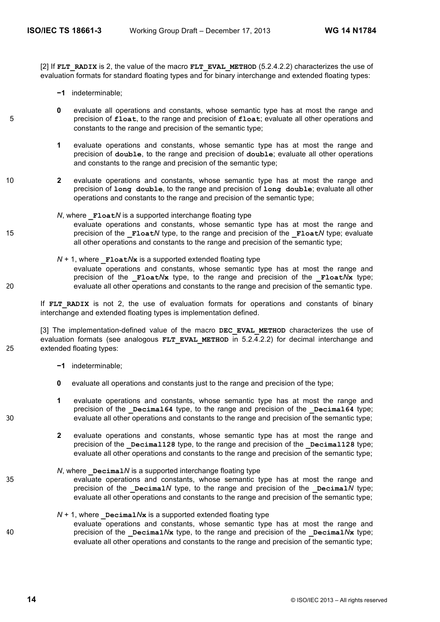[2] If **FLT\_RADIX** is 2, the value of the macro **FLT\_EVAL\_METHOD** (5.2.4.2.2) characterizes the use of evaluation formats for standard floating types and for binary interchange and extended floating types:

- **−1** indeterminable;
- **0** evaluate all operations and constants, whose semantic type has at most the range and 5 precision of **float**, to the range and precision of **float**; evaluate all other operations and constants to the range and precision of the semantic type;
	- **1** evaluate operations and constants, whose semantic type has at most the range and precision of **double**, to the range and precision of **double**; evaluate all other operations and constants to the range and precision of the semantic type;
- 10 **2** evaluate operations and constants, whose semantic type has at most the range and precision of **long double**, to the range and precision of **long double**; evaluate all other operations and constants to the range and precision of the semantic type;
- *N*, where **Float***N* is a supported interchange floating type evaluate operations and constants, whose semantic type has at most the range and 15 **precision of the Float***N* type, to the range and precision of the Float<sub>*N*</sub> type; evaluate all other operations and constants to the range and precision of the semantic type;
- $N + 1$ , where **Float** $N$ **x** is a supported extended floating type evaluate operations and constants, whose semantic type has at most the range and precision of the  $_{F1oat}N_x$  type, to the range and precision of the  $_{F1oat}N_x$  type; 20 evaluate all other operations and constants to the range and precision of the semantic type.

If **FLT RADIX** is not 2, the use of evaluation formats for operations and constants of binary interchange and extended floating types is implementation defined.

[3] The implementation-defined value of the macro **DEC\_EVAL\_METHOD** characterizes the use of evaluation formats (see analogous **FLT EVAL METHOD** in 5.2.4.2.2) for decimal interchange and 25 extended floating types:

- **−1** indeterminable;
- **0** evaluate all operations and constants just to the range and precision of the type;
- **1** evaluate operations and constants, whose semantic type has at most the range and precision of the **Decimal64** type, to the range and precision of the **Decimal64** type; 30 evaluate all other operations and constants to the range and precision of the semantic type;
	- **2** evaluate operations and constants, whose semantic type has at most the range and precision of the **Decimal128** type, to the range and precision of the **Decimal128** type; evaluate all other operations and constants to the range and precision of the semantic type;
- *N*, where **Decimal***N* is a supported interchange floating type 35 evaluate operations and constants, whose semantic type has at most the range and precision of the **\_Decimal***N* type, to the range and precision of the **\_Decimal***N* type; evaluate all other operations and constants to the range and precision of the semantic type;
- $N + 1$ , where **Decimal** $N$ **x** is a supported extended floating type evaluate operations and constants, whose semantic type has at most the range and 40 precision of the **Decimal** $N$ **x** type, to the range and precision of the **Decimal** $N$ **x** type; evaluate all other operations and constants to the range and precision of the semantic type;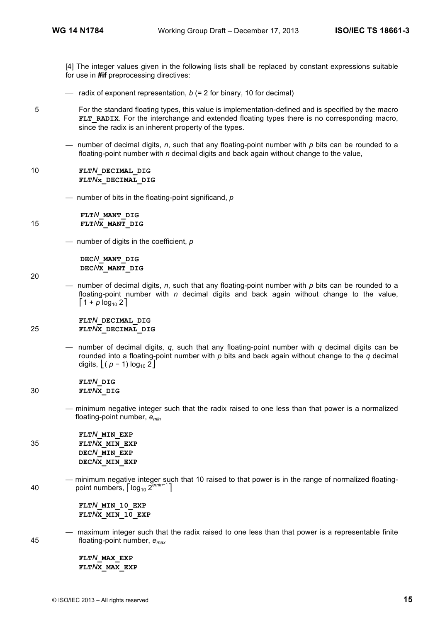[4] The integer values given in the following lists shall be replaced by constant expressions suitable for use in **#if** preprocessing directives:

- radix of exponent representation, *b* (= 2 for binary, 10 for decimal)
- 5 For the standard floating types, this value is implementation-defined and is specified by the macro **FLT\_RADIX.** For the interchange and extended floating types there is no corresponding macro, since the radix is an inherent property of the types.
	- number of decimal digits, *n*, such that any floating-point number with *p* bits can be rounded to a floating-point number with *n* decimal digits and back again without change to the value,
- 10 **FLT***N***\_DECIMAL\_DIG FLT***N***x\_DECIMAL\_DIG**
	- number of bits in the floating-point significand, *p*

**FLT***N***\_MANT\_DIG**  15 **FLT***N***X\_MANT\_DIG** 

— number of digits in the coefficient, *p*

**DEC***N***\_MANT\_DIG DEC***N***X\_MANT\_DIG** 

— number of decimal digits, *n*, such that any floating-point number with *p* bits can be rounded to a floating-point number with *n* decimal digits and back again without change to the value,  $[1 + p \log_{10} 2]$ 

 **FLT***N***\_DECIMAL\_DIG**  25 **FLT***N***X\_DECIMAL\_DIG** 

> — number of decimal digits, *q*, such that any floating-point number with *q* decimal digits can be rounded into a floating-point number with *p* bits and back again without change to the *q* decimal digits,  $|(p - 1) \log_{10} 2|$

 **FLT***N***\_DIG**  30 **FLT***N***X\_DIG** 

20

— minimum negative integer such that the radix raised to one less than that power is a normalized floating-point number, *emin*

 **FLT***N***\_MIN\_EXP** 35 **FLT***N***X\_MIN\_EXP DEC***N***\_MIN\_EXP DEC***N***X\_MIN\_EXP**

— minimum negative integer such that 10 raised to that power is in the range of normalized floatingpoint numbers, ⎡log10 2*emin*−<sup>1</sup> 40 ⎤

> **FLT***N***\_MIN\_10\_EXP**  FLT*N***X** MIN 10 EXP

— maximum integer such that the radix raised to one less than that power is a representable finite 45 floating-point number, *emax*

> **FLT***N***\_MAX\_EXP FLT***N***X\_MAX\_EXP**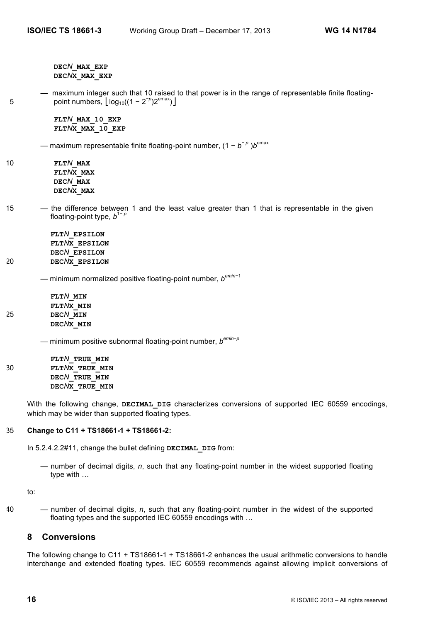**DEC***N***\_MAX\_EXP DEC***N***X\_MAX\_EXP**

— maximum integer such that 10 raised to that power is in the range of representable finite floating-5  $\text{point numbers}, \lfloor \log_{10}((1 - 2^{-p})2^{\text{emax}}) \rfloor$ 

> **FLT***N***\_MAX\_10\_EXP FLT***N***X\_MAX\_10\_EXP**

— maximum representable finite floating-point number, (1 − *b*<sup>−</sup> *<sup>p</sup>* )*b*emax

- 10 **FLT***N***\_MAX FLT***N***X\_MAX DEC***N***\_MAX DEC***N***X\_MAX**
- 15 the difference between 1 and the least value greater than 1 that is representable in the given floating-point type,  $b^{1-p}$

**FLT***N***\_EPSILON FLT***N***X\_EPSILON DEC***N***\_EPSILON** 20 **DEC***N***X\_EPSILON**

— minimum normalized positive floating-point number, *bemin*−<sup>1</sup>

**FLT***N***\_MIN FLT***N***X\_MIN** 25 **DEC***N***\_MIN DEC***N***X\_MIN**

— minimum positive subnormal floating-point number, *bemin*−*<sup>p</sup>*

**FLT***N***\_TRUE\_MIN** 30 **FLT***N***X\_TRUE\_MIN DEC***N***\_TRUE\_MIN DEC***N***X\_TRUE\_MIN**

> With the following change, **DECIMAL DIG** characterizes conversions of supported IEC 60559 encodings, which may be wider than supported floating types.

## 35 **Change to C11 + TS18661-1 + TS18661-2:**

In 5.2.4.2.2#11, change the bullet defining **DECIMAL\_DIG** from:

— number of decimal digits, *n*, such that any floating-point number in the widest supported floating type with …

to:

40 — number of decimal digits, *n*, such that any floating-point number in the widest of the supported floating types and the supported IEC 60559 encodings with …

# **8 Conversions**

The following change to C11 + TS18661-1 + TS18661-2 enhances the usual arithmetic conversions to handle interchange and extended floating types. IEC 60559 recommends against allowing implicit conversions of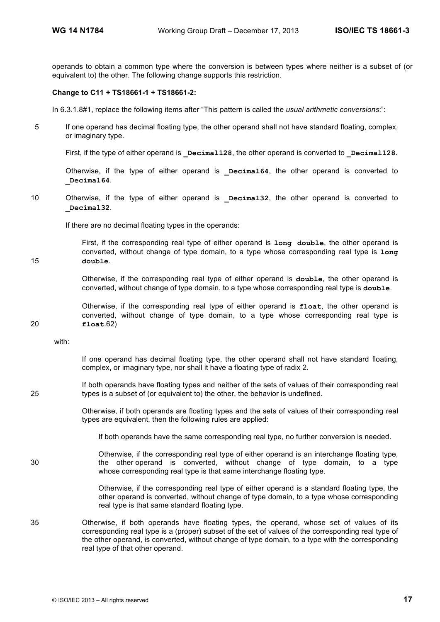operands to obtain a common type where the conversion is between types where neither is a subset of (or equivalent to) the other. The following change supports this restriction.

#### **Change to C11 + TS18661-1 + TS18661-2:**

In 6.3.1.8#1, replace the following items after "This pattern is called the *usual arithmetic conversions*:":

5 If one operand has decimal floating type, the other operand shall not have standard floating, complex, or imaginary type.

First, if the type of either operand is **Decimal128**, the other operand is converted to **Decimal128**.

Otherwise, if the type of either operand is **\_Decimal64**, the other operand is converted to **\_Decimal64**.

10 Otherwise, if the type of either operand is **\_Decimal32**, the other operand is converted to **\_Decimal32**.

If there are no decimal floating types in the operands:

First, if the corresponding real type of either operand is **long double**, the other operand is converted, without change of type domain, to a type whose corresponding real type is **long**  15 **double**.

> Otherwise, if the corresponding real type of either operand is **double**, the other operand is converted, without change of type domain, to a type whose corresponding real type is **double**.

Otherwise, if the corresponding real type of either operand is **float**, the other operand is converted, without change of type domain, to a type whose corresponding real type is 20 **float**.62)

with:

If one operand has decimal floating type, the other operand shall not have standard floating, complex, or imaginary type, nor shall it have a floating type of radix 2.

If both operands have floating types and neither of the sets of values of their corresponding real 25 types is a subset of (or equivalent to) the other, the behavior is undefined.

> Otherwise, if both operands are floating types and the sets of values of their corresponding real types are equivalent, then the following rules are applied:

If both operands have the same corresponding real type, no further conversion is needed.

Otherwise, if the corresponding real type of either operand is an interchange floating type, 30 the other operand is converted, without change of type domain, to a type whose corresponding real type is that same interchange floating type.

> Otherwise, if the corresponding real type of either operand is a standard floating type, the other operand is converted, without change of type domain, to a type whose corresponding real type is that same standard floating type.

35 Otherwise, if both operands have floating types, the operand, whose set of values of its corresponding real type is a (proper) subset of the set of values of the corresponding real type of the other operand, is converted, without change of type domain, to a type with the corresponding real type of that other operand.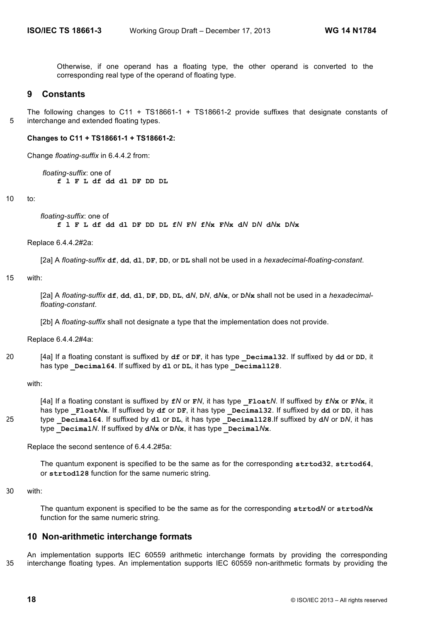Otherwise, if one operand has a floating type, the other operand is converted to the corresponding real type of the operand of floating type.

## **9 Constants**

The following changes to C11 + TS18661-1 + TS18661-2 provide suffixes that designate constants of 5 interchange and extended floating types.

#### **Changes to C11 + TS18661-1 + TS18661-2:**

Change *floating-suffix* in 6.4.4.2 from:

*floating-suffix*: one of **f l F L df dd dl DF DD DL**

10 to:

*floating-suffix*: one of

**f l F L df dd dl DF DD DL f***N* **F***N* **f***N***x F***N***x d***N* **D***N* **d***N***x D***N***x**

Replace 6.4.4.2#2a:

[2a] A *floating-suffix* **df**, **dd**, **dl**, **DF**, **DD**, or **DL** shall not be used in a *hexadecimal-floating-constant*.

#### 15 with:

[2a] A floating-suffix df, dd, d1, DF, DD, DL, dN, DN, dNx, or DNx shall not be used in a hexadecimal*floating-constant*.

[2b] A *floating-suffix* shall not designate a type that the implementation does not provide.

Replace 6.4.4.2#4a:

20 [4a] If a floating constant is suffixed by **df** or **DF**, it has type **\_Decimal32**. If suffixed by **dd** or **DD**, it has type **Decimal64**. If suffixed by **dl** or **DL**, it has type **Decimal128**.

with:

[4a] If a floating constant is suffixed by **f***N* or **F***N*, it has type **\_Float***N*. If suffixed by **f***N***x** or **F***N***x**, it has type **Float/** $N$ **x**. If suffixed by df or DF, it has type **Decimal32**. If suffixed by dd or DD, it has 25 type **\_Decimal64**. If suffixed by **dl** or **DL**, it has type **\_Decimal128**.If suffixed by **d***N* or **D***N*, it has  $t$ ype **Decimal***N*. If suffixed by  $dN$ **x** or  $DN$ **x**, it has type **Decimal** $N$ **x**.

Replace the second sentence of 6.4.4.2#5a:

The quantum exponent is specified to be the same as for the corresponding **strtod32**, **strtod64**, or **strtod128** function for the same numeric string.

30 with:

The quantum exponent is specified to be the same as for the corresponding **strtod***N* or **strtod***N***x** function for the same numeric string.

## **10 Non-arithmetic interchange formats**

An implementation supports IEC 60559 arithmetic interchange formats by providing the corresponding 35 interchange floating types. An implementation supports IEC 60559 non-arithmetic formats by providing the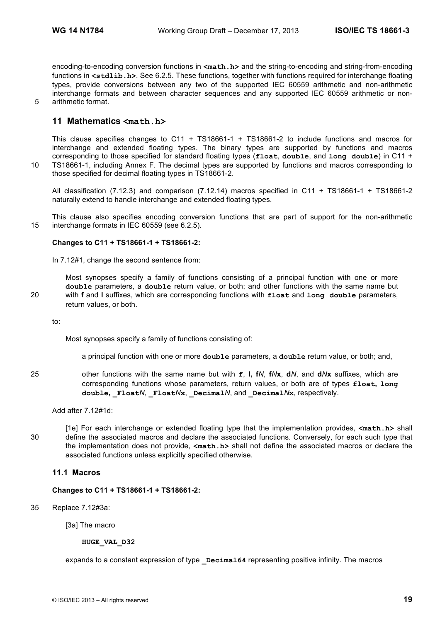encoding-to-encoding conversion functions in  $\leq m$ **ath.h>** and the string-to-encoding and string-from-encoding functions in **<stdlib.h>**. See 6.2.5. These functions, together with functions required for interchange floating types, provide conversions between any two of the supported IEC 60559 arithmetic and non-arithmetic interchange formats and between character sequences and any supported IEC 60559 arithmetic or non-5 arithmetic format.

## **11 Mathematics <math.h>**

This clause specifies changes to C11 + TS18661-1 + TS18661-2 to include functions and macros for interchange and extended floating types. The binary types are supported by functions and macros corresponding to those specified for standard floating types (**float**, **double**, and **long double**) in C11 + 10 TS18661-1, including Annex F. The decimal types are supported by functions and macros corresponding to those specified for decimal floating types in TS18661-2.

All classification (7.12.3) and comparison (7.12.14) macros specified in C11 + TS18661-1 + TS18661-2 naturally extend to handle interchange and extended floating types.

This clause also specifies encoding conversion functions that are part of support for the non-arithmetic 15 interchange formats in IEC 60559 (see 6.2.5).

#### **Changes to C11 + TS18661-1 + TS18661-2:**

In 7.12#1, change the second sentence from:

Most synopses specify a family of functions consisting of a principal function with one or more **double** parameters, a **double** return value, or both; and other functions with the same name but 20 with **f** and **l** suffixes, which are corresponding functions with **float** and **long double** parameters, return values, or both.

to:

Most synopses specify a family of functions consisting of:

a principal function with one or more **double** parameters, a **double** return value, or both; and,

25 other functions with the same name but with **f**, **l, f***N*, **f***N***x**, **d***N*, and **d***N***x** suffixes, which are corresponding functions whose parameters, return values, or both are of types **float, long double**, **Float***N*, **Float***N***x**, **Decimal***N*, and **Decimal***N***x**, respectively.

Add after 7.12#1d:

[1e] For each interchange or extended floating type that the implementation provides, **<math.h>** shall 30 define the associated macros and declare the associated functions. Conversely, for each such type that the implementation does not provide, **<math.h>** shall not define the associated macros or declare the associated functions unless explicitly specified otherwise.

## **11.1 Macros**

**Changes to C11 + TS18661-1 + TS18661-2:**

35 Replace 7.12#3a:

[3a] The macro

**HUGE\_VAL\_D32**

expands to a constant expression of type **Decimal64** representing positive infinity. The macros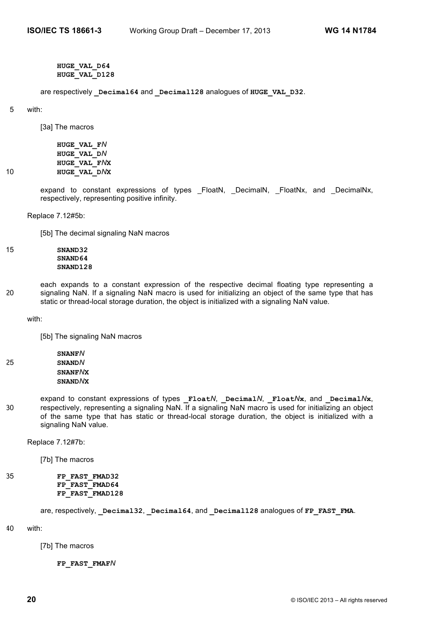**HUGE\_VAL\_D64 HUGE\_VAL\_D128**

are respectively **\_Decimal64** and **\_Decimal128** analogues of **HUGE\_VAL\_D32**.

#### 5 with:

[3a] The macros

**HUGE\_VAL\_F***N* **HUGE\_VAL\_D***N* **HUGE\_VAL\_F***N***X** 10 **HUGE\_VAL\_D***N***X**

> expand to constant expressions of types \_FloatN, \_DecimalN, \_FloatNx, and \_DecimalNx, respectively, representing positive infinity.

Replace 7.12#5b:

[5b] The decimal signaling NaN macros

15 **SNAND32 SNAND64 SNAND128**

each expands to a constant expression of the respective decimal floating type representing a 20 signaling NaN. If a signaling NaN macro is used for initializing an object of the same type that has static or thread-local storage duration, the object is initialized with a signaling NaN value.

with:

[5b] The signaling NaN macros

- **SNANF***N* 25 **SNAND***N* **SNANF***N***X SNAND***N***X**
- expand to constant expressions of types **\_Float***N*, **\_Decimal***N*, **\_Float***N***x**, and **\_Decimal***N***x**, 30 respectively, representing a signaling NaN. If a signaling NaN macro is used for initializing an object of the same type that has static or thread-local storage duration, the object is initialized with a signaling NaN value.

Replace 7.12#7b:

[7b] The macros

```
35 FP_FAST_FMAD32
          FP_FAST_FMAD64
          FP_FAST_FMAD128
```
are, respectively, **\_Decimal32**, **\_Decimal64**, and **\_Decimal128** analogues of **FP\_FAST\_FMA**.

40 with:

[7b] The macros

**FP\_FAST\_FMAF***N*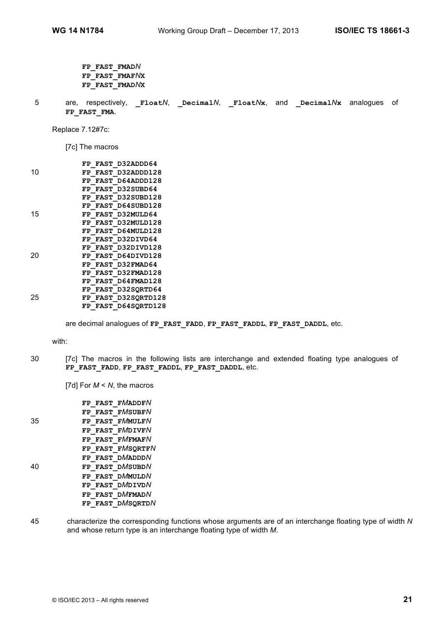- **FP\_FAST\_FMAD***N* **FP\_FAST\_FMAF***N***X FP\_FAST\_FMAD***N***X**
- 5 are, respectively, **Float/**, **Decimal/**, **Float//x**, and **Decimal//x** analogues of **FP\_FAST\_FMA**.

Replace 7.12#7c:

[7c] The macros

|    | FP FAST D32ADDD64   |
|----|---------------------|
| 10 | FP FAST D32ADDD128  |
|    | FP FAST D64ADDD128  |
|    | FP FAST D32SUBD64   |
|    | FP FAST D32SUBD128  |
|    | FP FAST D64SUBD128  |
| 15 | FP FAST D32MULD64   |
|    | FP FAST D32MULD128  |
|    | FP FAST D64MULD128  |
|    | FP FAST D32DIVD64   |
|    | FP FAST D32DIVD128  |
| 20 | FP FAST D64DIVD128  |
|    | FP FAST D32FMAD64   |
|    | FP FAST D32FMAD128  |
|    | FP FAST D64FMAD128  |
|    | FP FAST D32SORTD64  |
| 25 | FP FAST D32SORTD128 |
|    | FP FAST D64SORTD128 |

are decimal analogues of **FP\_FAST\_FADD**, **FP\_FAST\_FADDL**, **FP\_FAST\_DADDL**, etc.

with:

30 [7c] The macros in the following lists are interchange and extended floating type analogues of **FP\_FAST\_FADD**, **FP\_FAST\_FADDL**, **FP\_FAST\_DADDL**, etc.

[7d] For *M* < *N*, the macros

|    | FP FAST FMADDFN  |
|----|------------------|
|    | FP FAST FMSUBFN  |
| 35 | FP FAST FMMULFN  |
|    | FP FAST FMDIVFN  |
|    | FP FAST FMFMAFN  |
|    | FP FAST FMSORTFN |
|    | FP FAST DMADDDN  |
| 40 | FP FAST DMSUBDN  |
|    | FP FAST DMMULDN  |
|    | FP FAST DMDIVDN  |
|    | FP FAST DMFMADN  |
|    | FP FAST DMSQRTDN |

45 characterize the corresponding functions whose arguments are of an interchange floating type of width *N* and whose return type is an interchange floating type of width *M*.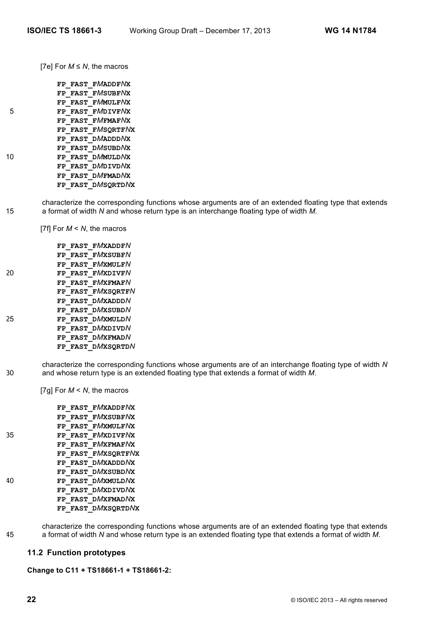[7e] For *M* ≤ *N*, the macros

|    | FP FAST FMADDFNX  |
|----|-------------------|
|    | FP FAST FMSUBFNX  |
|    | FP FAST FMMULFNX  |
| 5  | FP FAST FMDIVFNX  |
|    | FP FAST FMFMAFNX  |
|    | FP FAST FMSORTFNX |
|    | FP FAST DMADDDNX  |
|    | FP FAST DMSUBDNX  |
| 10 | FP FAST DMMULDNX  |
|    | FP FAST DMDIVDNX  |
|    | FP FAST DMFMADNX  |
|    | FP FAST DMSQRTDNX |

characterize the corresponding functions whose arguments are of an extended floating type that extends 15 a format of width *N* and whose return type is an interchange floating type of width *M*.

[7f] For *M* < *N*, the macros

|    | FP FAST FMXADDFN  |
|----|-------------------|
|    | FP FAST FMXSUBFN  |
|    | FP FAST FMXMULFN  |
| 20 | FP FAST FMXDIVFN  |
|    | FP FAST FMXFMAFN  |
|    | FP FAST FMXSQRTFN |
|    | FP FAST DMXADDDN  |
|    | FP FAST DMXSUBDN  |
| 25 | FP FAST DMXMULDN  |
|    | FP FAST DMXDIVDN  |
|    | FP FAST DMXFMADN  |
|    | FP FAST DMXSQRTDN |

characterize the corresponding functions whose arguments are of an interchange floating type of width *N* 30 and whose return type is an extended floating type that extends a format of width *M*.

[7g] For *M* < *N*, the macros

**FP\_FAST\_F***M***XADDF***N***X FP\_FAST\_F***M***XSUBF***N***X FP\_FAST\_F***M***XMULF***N***X** 35 **FP\_FAST\_F***M***XDIVF***N***X FP\_FAST\_F***M***XFMAF***N***X FP\_FAST\_F***M***XSQRTF***N***X FP\_FAST\_D***M***XADDD***N***X FP\_FAST\_D***M***XSUBD***N***X** 40 **FP\_FAST\_D***M***XMULD***N***X FP\_FAST\_D***M***XDIVD***N***X FP\_FAST\_D***M***XFMAD***N***X FP\_FAST\_D***M***XSQRTD***N***X**

characterize the corresponding functions whose arguments are of an extended floating type that extends 45 a format of width *N* and whose return type is an extended floating type that extends a format of width *M*.

## **11.2 Function prototypes**

**Change to C11 + TS18661-1 + TS18661-2:**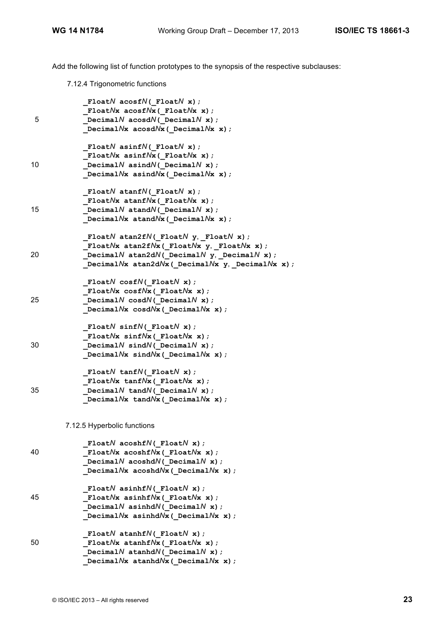Add the following list of function prototypes to the synopsis of the respective subclauses:

7.12.4 Trigonometric functions

| 5  | Float $N$ acosf $N($ Float $N$ x);<br>FloatNx acosfNx(_FloatNx x);<br>Decimal $N$ acosd $N$ ( Decimal $N$ x);<br>Decimal $N$ x acosd $N$ x (Decimal $N$ x x);                                                                       |
|----|-------------------------------------------------------------------------------------------------------------------------------------------------------------------------------------------------------------------------------------|
| 10 | Float $N$ asinf $N($ Float $N$ x);<br>Float $N$ x asinf $N$ x (Float $N$ x x);<br>Decimal $N$ asind $N$ ( Decimal $N$ x);<br>Decimal $N$ x asind $N$ x (Decimal $N$ x x);                                                           |
| 15 | Float $N$ atanf $N($ Float $N$ x);<br>Float $Nx$ atanf $Nx$ (Float $Nx$ x);<br>Decimal $N$ atand $N$ ( Decimal $N$ x);<br>Decimal $N$ x atand $N$ x (Decimal $N$ x x);                                                              |
| 20 | FloatN atan2fN( FloatN $y$ , FloatN $x$ );<br>Float $N$ x atan2f $N$ x (Float $N$ x y, Float $N$ x x);<br>Decimal $N$ atan2d $N$ ( Decimal $N$ y, Decimal $N$ x);<br>Decimal $N$ x atan2d $N$ x (Decimal $N$ x y, Decimal $N$ x x); |
| 25 | Float $N$ cosf $N($ Float $N$ x);<br>FloatNx $cosfNx$ (FloatNx x);<br>Decimal $N$ cosd $N$ ( Decimal $N$ x);<br>Decimal $N$ x cosd $N$ x (Decimal $N$ x x);                                                                         |
| 30 | Float $N$ sinf $N($ Float $N$ x);<br>Float $N$ x sinf $N$ x (Float $N$ x x);<br>Decimal $N$ sind $N$ ( Decimal $N$ x);<br>Decimal $N$ x sind $N$ x (Decimal $N$ x x);                                                               |
| 35 | Float $N$ tanf $N($ Float $N$ x);<br>Float $N$ x tanf $N$ x ([Float $N$ x x);<br>Decimal $N$ tand $N$ ( Decimal $N$ x);<br>Decimal $N$ <b>x</b> tand $N$ <b>x</b> ( Decimal $N$ <b>x x</b> );                                       |
|    | 7.12.5 Hyperbolic functions                                                                                                                                                                                                         |
| 40 | FloatN acoshfN( FloatN $x$ );<br>FloatNx $acoshfNx$ (FloatNx x);<br>Decimal $N$ acoshd $N$ ( Decimal $N$ x);<br>Decimal $N$ x acoshd $N$ x (Decimal $N$ x x);                                                                       |
| 45 | Float $N$ asinhf $N($ Float $N$ x);<br>Float $N$ x asinhf $N$ x (Float $N$ x x);<br>Decimal $N$ asinhd $N$ ( Decimal $N$ x);<br>Decimal $N$ x asinhd $N$ x (Decimal $N$ x x);                                                       |
| 50 | Float $N$ atanhf $N($ Float $N$ x);<br>FloatNx atanhfNx (FloatNx x) ;<br>Decimal $N$ atanhd $N$ ( Decimal $N$ x);<br>Decimal $N$ x atanhd $N$ x (Decimal $N$ x x);                                                                  |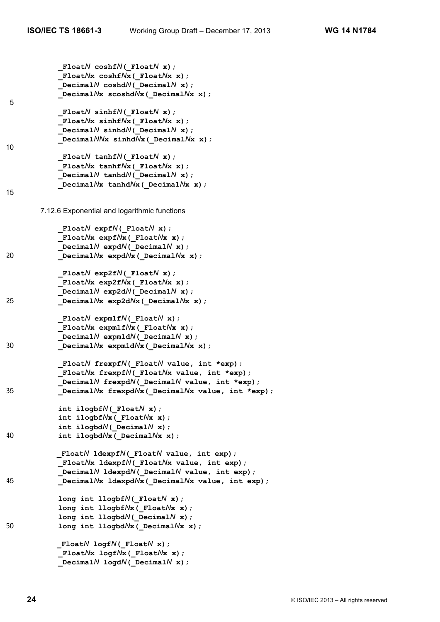**\_Float***N* **coshf***N***(\_Float***N* **x); \_Float***N***x coshf***N***x(\_Float***N***x x); \_Decimal***N* **coshd***N***(\_Decimal***N* **x); \_Decimal***N***x scoshd***N***x(\_Decimal***N***x x);** 5  **\_Float***N* **sinhf***N***(\_Float***N* **x); \_Float***N***x sinhf***N***x(\_Float***N***x x);**  $DecimalN sinh dN($   $DecimalN x)$ ;  **\_Decimal***NN***x sinhd***N***x(\_Decimal***N***x x);** 10  **\_Float***N* **tanhf***N***(\_Float***N* **x); \_Float***N***x tanhf***N***x(\_Float***N***x x); \_Decimal***N* **tanhd***N***(\_Decimal***N* **x); \_Decimal***N***x tanhd***N***x(\_Decimal***N***x x);** 15 7.12.6 Exponential and logarithmic functions  **\_Float***N* **expf***N***(\_Float***N* **x); \_Float***N***x expf***N***x(\_Float***N***x x);**  $DecimalN$   $expdN($   $DecimalN x)$ ; 20 **\_Decimal***N***x expd***N***x(\_Decimal***N***x x); \_Float***N* **exp2f***N***(\_Float***N* **x); \_Float***N***x exp2f***N***x(\_Float***N***x x); \_Decimal***N* **exp2d***N***(\_Decimal***N* **x);** 25 **\_Decimal***N***x exp2d***N***x(\_Decimal***N***x x);**  $F$ loat $N$  **expm1f** $N$ ( $F$ loat $N$  **x**);  **\_Float***N***x expm1f***N***x(\_Float***N***x x);**  $DecimalN$   $expm1dN$   $($   $DecimalN$   $x)$ ; 30 **\_Decimal***N***x expm1d***N***x(\_Decimal***N***x x); \_Float***N* **frexpf***N***(\_Float***N* **value, int \*exp); \_Float***N***x frexpf***N***(\_Float***N***x value, int \*exp); \_Decimal***N* **frexpd***N***(\_Decimal***N* **value, int \*exp);** 35 **\_Decimal***N***x frexpd***N***x(\_Decimal***N***x value, int \*exp); int ilogbf***N***(\_Float***N* **x); int ilogbf***N***x(\_Float***N***x x); int ilogbd***N***(\_Decimal***N* **x);** 40 **int ilogbd***N***x(\_Decimal***N***x x); \_Float***N* **ldexpf***N***(\_Float***N* **value, int exp); \_Float***N***x ldexpf***N***(\_Float***N***x value, int exp); \_Decimal***N* **ldexpd***N***(\_Decimal***N* **value, int exp);** 45 **\_Decimal***N***x ldexpd***N***x(\_Decimal***N***x value, int exp); long int llogbf***N***(\_Float***N* **x); long int llogbf***N***x(\_Float***N***x x); long int llogbd***N***(\_Decimal***N* **x);** 50 long int llogbd $N$ **x** ( Decimal $N$ **x x**); **\_Float***N* **logf***N***(\_Float***N* **x); \_Float***N***x logf***N***x(\_Float***N***x x); \_Decimal***N* **logd***N***(\_Decimal***N* **x);**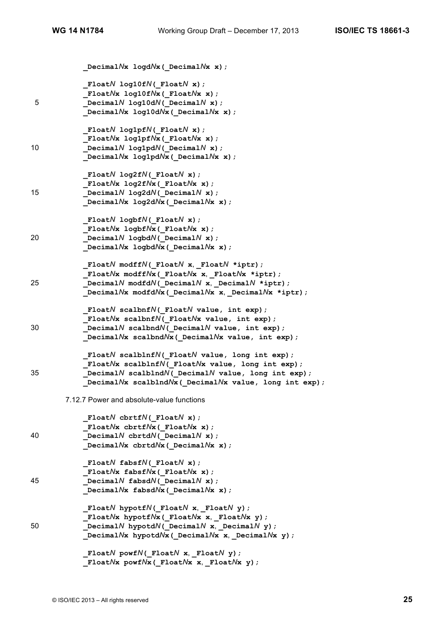|    | Decimal $N$ x logd $N$ x (Decimal $N$ x x);                       |
|----|-------------------------------------------------------------------|
|    | Float $N$ log10f $N$ ( Float $N$ x);                              |
|    | Float $Nx$ log10f $Nx$ (Float $Nx$ x);                            |
| 5  | Decimal $N$ log10d $N$ ( Decimal $N$ x);                          |
|    | Decimal $N$ x log10d $N$ x (Decimal $N$ x x);                     |
|    | Float $N$ log1pf $N($ Float $N$ x);                               |
|    | FloatNx $log1pfNx$ ( FloatNx x);                                  |
| 10 |                                                                   |
|    | Decimal $N$ log1pd $N$ ( Decimal $N$ x);                          |
|    | Decimal $N$ x log1pd $N$ x (Decimal $N$ x x);                     |
|    | Float $N$ log2f $N($ Float $N$ x);                                |
|    | Float $Nx$ log2f $Nx$ (Float $Nx$ x);                             |
| 15 | Decimal $N$ log2d $N$ ( Decimal $N$ x);                           |
|    | Decimal $N$ x log2d $N$ x (Decimal $N$ x x);                      |
|    | $F$ loat $N$ logbf $N($ Float $N$ x);                             |
|    | FloatNx logbfNx (FloatNx x) ;                                     |
| 20 | Decimal $N$ logbd $N$ ( Decimal $N$ x);                           |
|    | Decimal $N$ x logbd $N$ x (Decimal $N$ x x);                      |
|    | FloatN modffN( FloatN x, FloatN *iptr);                           |
|    | FloatNx modffNx (FloatNx x, FloatNx *iptr);                       |
| 25 | Decimal $N$ modfd $N$ ( Decimal $N$ x, Decimal $N$ *iptr);        |
|    | Decimal $N$ x modfd $N$ x (Decimal $N$ x x, Decimal $N$ x *iptr); |
|    | Float $N$ scalbnf $N($ Float $N$ value, int exp);                 |
|    | Float $N$ x scalbnf $N($ Float $N$ x value, int exp);             |
| 30 | Decimal $N$ scalbnd $N($ Decimal $N$ value, int exp);             |
|    | Decimal $N$ x scalbnd $N$ x (Decimal $N$ x value, int exp);       |
|    | Float $N$ scalblnf $N($ Float $N$ value, long int exp);           |
|    | Float $N$ x scalblnf $N($ Float $N$ x value, long int exp);       |
| 35 | Decimal $N$ scalblnd $N$ ( Decimal $N$ value, long int exp);      |
|    | Decimal $N$ x scalblnd $N$ x (Decimal $N$ x value, long int exp); |
|    | 7.12.7 Power and absolute-value functions                         |
|    | Float $N$ cbrtf $N($ Float $N$ x);                                |
|    | Float $N$ x cbrtf $N$ x (Float $N$ x x);                          |
| 40 | Decimal $N$ cbrtd $N$ ( Decimal $N$ x);                           |
|    | Decimal $N$ x cbrtd $N$ x (Decimal $N$ x x);                      |
|    | Float $N$ fabsf $N($ Float $N$ x);                                |
|    | Float $Nx$ fabsf $Nx$ (Float $Nx$ x);                             |
| 45 | Decimal $N$ fabsd $N$ ( Decimal $N$ x);                           |
|    | Decimal $N$ x fabsd $N$ x (Decimal $N$ x x);                      |
|    | FloatN hypotfN( FloatN x, FloatN $y$ );                           |
|    | FloatNx hypotfNx ( FloatNx x, FloatNx y) ;                        |
| 50 | Decimal $N$ hypotd $N$ ( Decimal $N$ x, Decimal $N$ y);           |
|    | Decimal $N$ x hypotd $N$ x (Decimal $N$ x x, Decimal $N$ x y);    |
|    | FloatN powfN( FloatN x, FloatN $y$ );                             |
|    | FloatNx powfNx( FloatNx x, FloatNx $y$ );                         |
|    |                                                                   |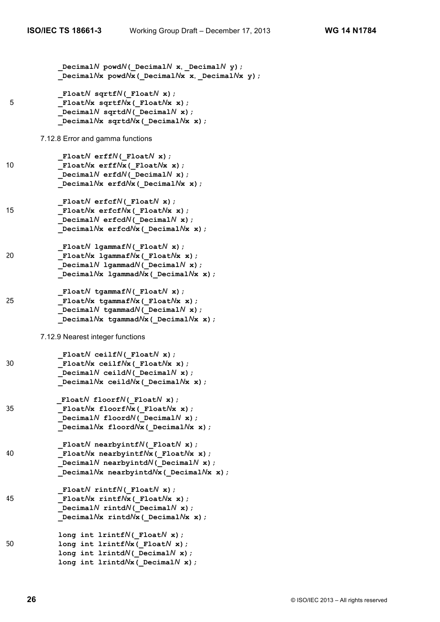|    | Decimal $N$ powd $N$ ( Decimal $N$ x, Decimal $N$ y);<br>Decimal $N$ x powd $N$ x (Decimal $N$ x x, Decimal $N$ x y);                                                             |
|----|-----------------------------------------------------------------------------------------------------------------------------------------------------------------------------------|
| 5  | Float $N$ sqrtf $N($ Float $N$ x);<br>Float $N$ x sqrtf $N$ x (Float $N$ x x);<br>Decimal $N$ sqrtd $N$ ( Decimal $N$ x);<br>Decimal $N$ x sqrtd $N$ x (Decimal $N$ x x);         |
|    | 7.12.8 Error and gamma functions                                                                                                                                                  |
| 10 | Float $N$ erff $N($ Float $N$ x);<br>Float $N$ x erff $N$ x (Float $N$ x x);<br>Decimal $N$ erfd $N($ Decimal $N(x)$ ;<br>Decimal $N$ x erfd $N$ x (Decimal $N$ x x);             |
| 15 | Float $N$ erfcf $N($ Float $N(x)$ ;<br>Float $N$ x erfcf $N$ x (Float $N$ x x);<br>Decimal $N$ erfcd $N$ ( Decimal $N$ x);<br>Decimal $N$ x erfcd $N$ x (Decimal $N$ x x);        |
| 20 | Float $N$ lgammaf $N($ Float $N$ x);<br>Float $N$ x lgammaf $N$ x (Float $N$ x x);<br>Decimal $N$ lgammad $N$ ( Decimal $N$ x);<br>Decimal $N$ x lgammad $N$ x (Decimal $N$ x x); |
| 25 | Float $N$ tgammaf $N($ Float $N$ x);<br>FloatNx tgammafNx(FloatNx x);<br>Decimal $N$ tgammad $N$ ( Decimal $N$ x);<br>Decimal $N$ x tgammad $N$ x (Decimal $N$ x x);              |
|    | 7.12.9 Nearest integer functions                                                                                                                                                  |
| 30 | Float $N$ ceilf $N($ Float $N$ x);<br>FloatNx ceilfNx(_FloatNx x);<br>Decimal $N$ ceild $N$ ( Decimal $N$ x);<br>Decimal $N$ x ceild $N$ x (Decimal $N$ x x);                     |
| 35 | Float $N$ floorf $N($ Float $N$ x);<br>Float $N$ x floorf $N$ x (Float $N$ x x);<br>Decimal $N$ floord $N$ ( Decimal $N$ x);<br>Decimal $N$ x floord $N$ x (Decimal $N$ x x);     |
| 40 | Float $N$ nearbyintf $N($ Float $N(x)$ ;<br>FloatNx nearbyintfNx(FloatNx x);<br>Decimal $N$ nearbyintd $N$ ( Decimal $N$ x);<br>Decimal $N$ x nearbyintd $N$ x (Decimal $N$ x x); |
| 45 | Float $N$ rintf $N($ Float $N$ x);<br>Float $N$ x rintf $N$ x (Float $N$ x x);<br>Decimal $N$ rintd $N$ ( Decimal $N$ x);<br>Decimal $N$ x rintd $N$ x (Decimal $N$ x x);         |
| 50 | long int lrintf $N($ Float $N(x)$ ;<br>long int lrintf $Nx$ (Float $N$ x);<br>long int lrintd $N($ Decimal $N(x)$ ;<br>long int $lrintdNx$ ( Decimal $Nx$ ) ;                     |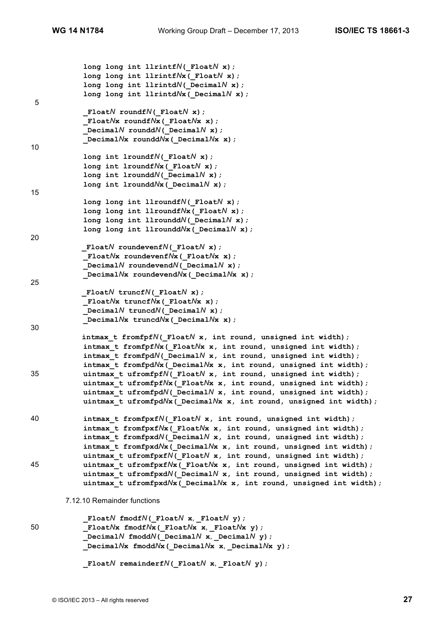```
 long long int llrintfN(_FloatN x);
             long long int llrintfNx(_FloatN x);
             long long int llrintdN(_DecimalN x);
             long long int llrintdNx(_DecimalN x);
5
             _FloatN roundfN(_FloatN x);
             _FloatNx roundfNx(_FloatNx x);
             _DecimalN rounddN(_DecimalN x);
             _DecimalNx rounddNx(_DecimalNx x);
10
             long int lroundfN(_FloatN x);
             long int lroundfNx(_FloatN x);
             long int lrounddN(_DecimalN x);
             long int lrounddNx(_DecimalN x);
15
             long long int llroundfN(_FloatN x);
             long long int llroundfNx(_FloatN x);
             long long int llrounddN(_DecimalN x);
             long long int llrounddNx(_DecimalN x);
20
            _FloatN roundevenfN(_FloatN x);
             _FloatNx roundevenfNx(_FloatNx x);
             _DecimalN roundevendN(_DecimalN x);
             _DecimalNx roundevendNx(_DecimalNx x);
25
           _FloatN truncfN(_FloatN x);
             _FloatNx truncfNx(_FloatNx x);
             _DecimalN truncdN(_DecimalN x);
             _DecimalNx truncdNx(_DecimalNx x);
30
           intmax_t fromfpfN(_FloatN x, int round, unsigned int width);
             intmax_t fromfpfNx(_FloatNx x, int round, unsigned int width);
             intmax_t fromfpdN(_DecimalN x, int round, unsigned int width);
             intmax_t fromfpdNx(_DecimalNx x, int round, unsigned int width);
35 uintmax_t ufromfpfN(_FloatN x, int round, unsigned int width);
             uintmax_t ufromfpfNx(_FloatNx x, int round, unsigned int width);
            \overline{\text{unitmax}} t ufromfpdN( DecimalN x, int round, unsigned int width);
             uintmax_t ufromfpdNx(_DecimalNx x, int round, unsigned int width);
40 intmax_t fromfpxfN(_FloatN x, int round, unsigned int width);
             intmax_t fromfpxfNx(_FloatNx x, int round, unsigned int width);
             intmax_t fromfpxdN(_DecimalN x, int round, unsigned int width);
             intmax_t fromfpxdNx(_DecimalNx x, int round, unsigned int width);
             uintmax_t ufromfpxfN(_FloatN x, int round, unsigned int width);
45 uintmax_t ufromfpxfNx(_FloatNx x, int round, unsigned int width);
             uintmax_t ufromfpxdN(_DecimalN x, int round, unsigned int width);
             uintmax_t ufromfpxdNx(_DecimalNx x, int round, unsigned int width);
       7.12.10 Remainder functions
            _FloatN fmodfN(_FloatN x, _FloatN y);
50 _FloatNx fmodfNx(_FloatNx x, _FloatNx y);
            DecimalN fmoddN( DecimalN x, DecimalN y);
             _DecimalNx fmoddNx(_DecimalNx x, _DecimalNx y);
            FloatN remainderfN(FloatN x, FloatN y);
```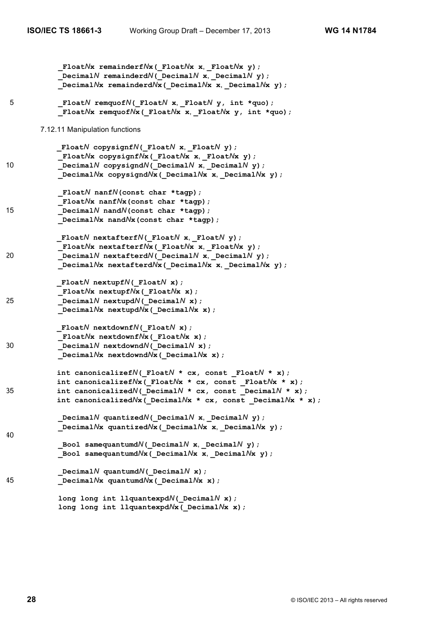```
 _FloatNx remainderfNx(_FloatNx x, _FloatNx y);
            _DecimalN remainderdN(_DecimalN x, _DecimalN y);
            _DecimalNx remainderdNx(_DecimalNx x, _DecimalNx y);
5 _FloatN remquofN(_FloatN x, _FloatN y, int *quo);
             _FloatNx remquofNx(_FloatNx x, _FloatNx y, int *quo);
       7.12.11 Manipulation functions
           _FloatN copysignfN(_FloatN x, _FloatN y);
             _FloatNx copysignfNx(_FloatNx x, _FloatNx y);
10 Decimal<sup>N</sup> copysignd<sup>N</sup> ( Decimal<sup>N</sup> x, Decimal<sup>N</sup> y);
             _DecimalNx copysigndNx(_DecimalNx x, _DecimalNx y);
             _FloatN nanfN(const char *tagp);
             _FloatNx nanfNx(const char *tagp);
15 _DecimalN nandN(const char *tagp);
             _DecimalNx nandNx(const char *tagp);
           _FloatN nextafterfN(_FloatN x, _FloatN y);
             _FloatNx nextafterfNx(_FloatNx x, _FloatNx y);
20 Decimal<sup>N</sup> nextafterd<sup>N</sup> ( DecimalN x, DecimalN y);
             _DecimalNx nextafterdNx(_DecimalNx x, _DecimalNx y);
           _FloatN nextupfN(_FloatN x);
            _FloatNx nextupfNx(_FloatNx x);
25 _DecimalN nextupdN(_DecimalN x);
             _DecimalNx nextupdNx(_DecimalNx x);
           _FloatN nextdownfN(_FloatN x);
             _FloatNx nextdownfNx(_FloatNx x);
30 _DecimalN nextdowndN(_DecimalN x);
             _DecimalNx nextdowndNx(_DecimalNx x);
           int canonicalizefN(_FloatN * cx, const _FloatN * x);
           int canonicalizefNx(_FloatNx * cx, const _FloatNx * x);
35 int canonicalizedN(_DecimalN * cx, const _DecimalN * x);
           int canonicalizedNx(_DecimalNx * cx, const _DecimalNx * x);
            DecimalN quantizedN( DecimalNx, DecimalN y);
             _DecimalNx quantizedNx(_DecimalNx x, _DecimalNx y);
40
            Bool samequantumdN( DecimalN x, DecimalN y);
            _Bool samequantumdNx(_DecimalNx x, _DecimalNx y);
             _DecimalN quantumdN(_DecimalN x);
45 _DecimalNx quantumdNx(_DecimalNx x);
             long long int llquantexpdN(_DecimalN x);
             long long int llquantexpdNx(_DecimalNx x);
```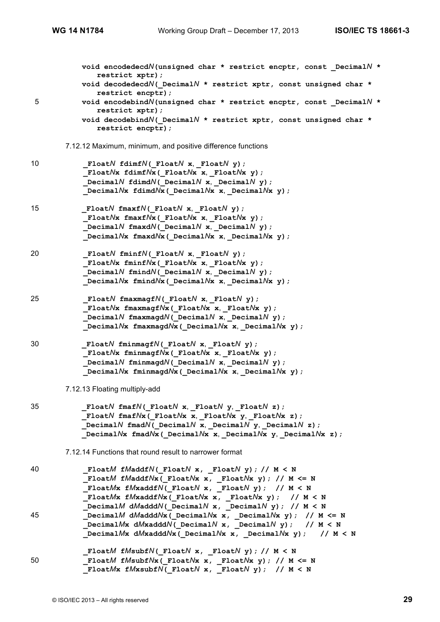|    | void encodedecdN(unsigned char * restrict encptr, const DecimalN *<br>restrict xptr);<br>void decodedecdN( DecimalN * restrict xptr, const unsigned char *                                                                                                        |
|----|-------------------------------------------------------------------------------------------------------------------------------------------------------------------------------------------------------------------------------------------------------------------|
| 5  | restrict encptr);<br>void encodebindN(unsigned char * restrict encptr, const DecimalN *<br>restrict xptr);                                                                                                                                                        |
|    | void decodebindN( DecimalN * restrict xptr, const unsigned char *<br>restrict encptr);                                                                                                                                                                            |
|    | 7.12.12 Maximum, minimum, and positive difference functions                                                                                                                                                                                                       |
| 10 | Float $N$ fdimf $N$ ( Float $N$ x, Float $N$ y);<br>FloatNx fdimfNx( FloatNx x, FloatNx y);<br>Decimal $N$ fdimd $N$ ( Decimal $N$ x, Decimal $N$ y);<br>Decimal $N$ x fdimd $N$ x (Decimal $N$ x x, Decimal $N$ x y);                                            |
| 15 | FloatN fmaxfN( FloatN x, FloatN $y$ );<br>FloatNx fmaxfNx( FloatNx x, FloatNx $y$ );<br>Decimal $N$ fmaxd $N$ ( Decimal $N$ x, Decimal $N$ y);<br>Decimal $N$ x fmaxd $N$ x (Decimal $N$ x x, Decimal $N$ x y);                                                   |
| 20 | Float $N$ fminf $N$ ( Float $N$ x, Float $N$ y);<br>FloatNx fminfNx( FloatNx x, FloatNx y) ;<br>Decimal $N$ fmind $N$ ( Decimal $N$ x, Decimal $N$ y);<br>Decimal $N$ x fmind $N$ x (Decimal $N$ x x, Decimal $N$ x y);                                           |
| 25 | Float $N$ fmaxmagf $N$ ( Float $N$ x, Float $N$ y);<br>FloatNx fmaxmagfNx(_FloatNx x, _FloatNx y);<br>Decimal $N$ fmaxmagd $N$ ( Decimal $N$ x, Decimal $N$ y);<br>Decimal $N$ x fmaxmagd $N$ x (Decimal $N$ x x, Decimal $N$ x y);                               |
| 30 | Float $N$ fminmagf $N$ ( Float $N$ x, Float $N$ y);<br>Float $N$ x fminmagf $N$ x (Float $N$ x x, Float $N$ x y);<br>Decimal $N$ fminmagd $N$ ( Decimal $N$ x, Decimal $N$ y);<br>Decimal $N$ x fminmagd $N$ x (Decimal $N$ x x, Decimal $N$ x y);                |
|    | 7.12.13 Floating multiply-add                                                                                                                                                                                                                                     |
| 35 | FloatN fmafN( FloatN x, FloatN y, FloatN z);<br>FloatN fmafNx (FloatNx x, FloatNx y, FloatNx z);<br>Decimal $N$ fmad $N$ ( Decimal $N$ x, Decimal $N$ y, Decimal $N$ z);<br>Decimal $N$ x fmad $N$ x (Decimal $N$ x x, Decimal $N$ x y, Decimal $N$ x z);         |
|    | 7.12.14 Functions that round result to narrower format                                                                                                                                                                                                            |
| 40 | FloatM fMaddfN(FloatN x, FloatN y); // M < N<br>FloatM fMaddfNx(FloatNx x, FloatNx y); // M <= N<br>FloatMx fMxaddfN(FloatN x, FloatN y); // M < N<br>FloatMx fMxaddfNx(FloatNx x, FloatNx y); // $M < N$                                                         |
| 45 | DecimalM dMadddN( DecimalN x, DecimalN y); // $M < N$<br>DecimalM dMadddNx (DecimalNx x, DecimalNx y) ; // $M \le N$<br>Decimal $M$ x d $M$ xaddd $N$ ( Decimal $N$ x, Decimal $N$ y); // M < N<br>DecimalMx $dMx$ add $dNx$ (DecimalNx x, DecimalNx y); // M < N |
| 50 | FloatM fMsubfN( FloatN x, _FloatN y); // M < N<br>FloatM fMsubfNx(_FloatNx x, _FloatNx y); // M <= N<br>FloatMx $fMxsubfN($ FloatN x, FloatN y); // M < N                                                                                                         |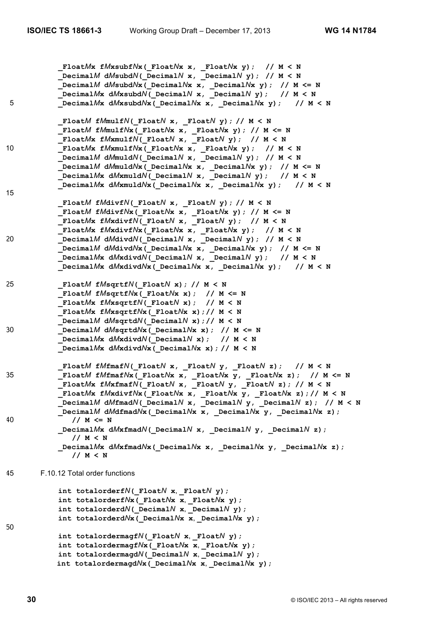```
 _FloatMx fMxsubfNx(_FloatNx x, _FloatNx y); // M < N
            _DecimalM dMsubdN(_DecimalN x, _DecimalN y); // M < N
            _DecimalM dMsubdNx(_DecimalNx x, _DecimalNx y); // M <= N
             _DecimalMx dMxsubdN(_DecimalN x, _DecimalN y); // M < N
5 _DecimalMx dMxsubdNx(_DecimalNx x, _DecimalNx y); // M < N
            _FloatM fMmulfN(_FloatN x, _FloatN y); // M < N
            _FloatM fMmulfNx(_FloatNx x, _FloatNx y); // M <= N
            _FloatMx fMxmulfN(_FloatN x, _FloatN y); // M < N
10 _FloatMx fMxmulfNx(_FloatNx x, _FloatNx y); // M < N
            _DecimalM dMmuldN(_DecimalN x, _DecimalN y); // M < N
           DecimalM dMmu1dNx (DecimalNx x, DecimalNx y); // M <= N
            _DecimalMx dMxmuldN(_DecimalN x, _DecimalN y); // M < N
            _DecimalMx dMxmuldNx(_DecimalNx x, _DecimalNx y); // M < N
15
            _FloatM fMdivfN(_FloatN x, _FloatN y); // M < N
            _FloatM fMdivfNx(_FloatNx x, _FloatNx y); // M <= N
            _FloatMx fMxdivfN(_FloatN x, _FloatN y); // M < N
            _FloatMx fMxdivfNx(_FloatNx x, _FloatNx y); // M < N
20 _DecimalM dMdivdN(_DecimalN x, _DecimalN y); // M < N
            _DecimalM dMdivdNx(_DecimalNx x, _DecimalNx y); // M <= N
            _DecimalMx dMxdivdN(_DecimalN x, _DecimalN y); // M < N
            _DecimalMx dMxdivdNx(_DecimalNx x, _DecimalNx y); // M < N
25 _FloatM fMsqrtfN(_FloatN x); // M < N
            _FloatM fMsqrtfNx(_FloatNx x); // M <= N
            _FloatMx fMxsqrtfN(_FloatN x); // M < N
           FloatMx fMxsqrtfNx(FloatNx x);// M < N
           DecimalM dMsqrtdM( DecimalN x);// M < N
30 _DecimalM dMsqrtdNx(_DecimalNx x); // M <= N
            _DecimalMx dMxdivdN(_DecimalN x); // M < N
            _DecimalMx dMxdivdNx(_DecimalNx x); // M < N
            _FloatM fMfmafN(_FloatN x, _FloatN y, _FloatN z); // M < N
35 _FloatM fMfmafNx(_FloatNx x, _FloatNx y, _FloatNx z); // M <= N
            _FloatMx fMxfmafN(_FloatN x, _FloatN y, _FloatN z); // M < N
             _FloatMx fMxdivfNx(_FloatNx x, _FloatNx y, _FloatNx z);// M < N
            _DecimalM dMfmadN(_DecimalN x, _DecimalN y, _DecimalN z); // M < N
            _DecimalM dMdfmadNx(_DecimalNx x, _DecimalNx y, _DecimalNx z);
40 // M <= N
            _DecimalMx dMxfmadN(_DecimalN x, _DecimalN y, _DecimalN z);
              // M < N
            _DecimalMx dMxfmadNx(_DecimalNx x, _DecimalNx y, _DecimalNx z);
              // M < N
45 F.10.12 Total order functions
           int totalorderfN(FloatN x, FloatN y);
            int totalorderfNx(_FloatNx x, _FloatNx y);
            int totalorderdN(_DecimalN x, _DecimalN y);
            int totalorderdNx(_DecimalNx x, _DecimalNx y);
50
            int totalordermagfN(_FloatN x, _FloatN y);
            int totalordermagfNx(_FloatNx x, _FloatNx y);
           int totalordermagdN( DecimalN x, DecimalN y);
           int totalordermagdNx \overline{C} DecimalNx \overline{x}, DecimalNx \overline{y});
```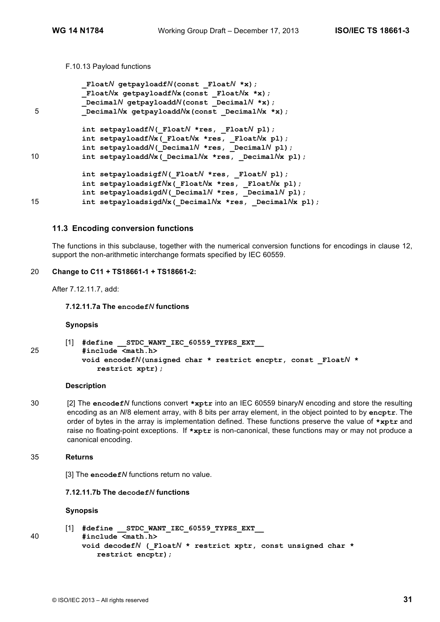### F.10.13 Payload functions

```
_FloatN getpayloadfN(const _FloatN *x);
           _FloatNx getpayloadfNx(const _FloatNx *x);
           _DecimalN getpayloaddN(const _DecimalN *x);
5 Decimal/x getpayloadd/x(const Decimal/x *x);
           int setpayloadfN(_FloatN *res, _FloatN pl);
           int setpayloadfNx(_FloatNx *res, _FloatNx pl);
           int setpayloaddN(_DecimalN *res, _DecimalN pl);
10 int setpayloaddNx ( DecimalNx *res, DecimalNx pl);
           int setpayloadsigfN(_FloatN *res, _FloatN pl);
           int setpayloadsigfNx(_FloatNx *res, _FloatNx pl);
           int setpayloadsigdN(_DecimalN *res, _DecimalN pl);
15 int setpayloadsigdNx(_DecimalNx *res, _DecimalNx pl);
```
## **11.3 Encoding conversion functions**

The functions in this subclause, together with the numerical conversion functions for encodings in clause 12, support the non-arithmetic interchange formats specified by IEC 60559.

#### 20 **Change to C11 + TS18661-1 + TS18661-2:**

After 7.12.11.7, add:

**7.12.11.7a The encodef***N* **functions**

#### **Synopsis**

```
[1] #define __STDC_WANT_IEC_60559_TYPES_EXT__
25 #include <math.h>
           void encodefN(unsigned char * restrict encptr, const _FloatN *
              restrict xptr);
```
## **Description**

30 [2] The **encodef***N* functions convert **\*xptr** into an IEC 60559 binary*N* encoding and store the resulting encoding as an *N*/8 element array, with 8 bits per array element, in the object pointed to by **encptr**. The order of bytes in the array is implementation defined. These functions preserve the value of **\*xptr** and raise no floating-point exceptions. If **\*xptr** is non-canonical, these functions may or may not produce a canonical encoding.

## 35 **Returns**

[3] The **encodef***N* functions return no value.

# **7.12.11.7b The decodef***N* **functions**

## **Synopsis**

```
[1] #define STDC WANT IEC 60559 TYPES EXT
40 #include <math.h>
          void decodefN (_FloatN * restrict xptr, const unsigned char *
             restrict encptr);
```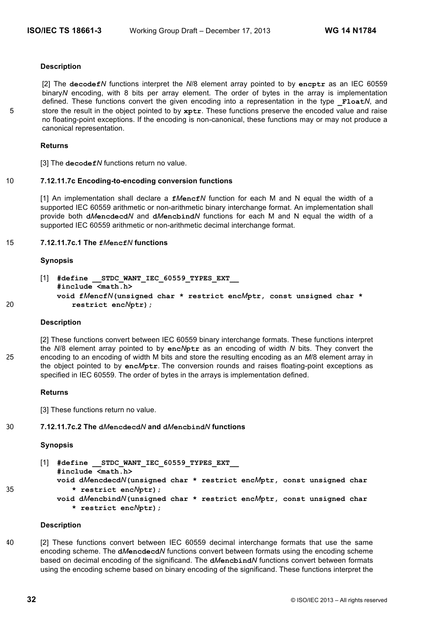## **Description**

[2] The **decodef***N* functions interpret the *N*/8 element array pointed to by **encptr** as an IEC 60559 binary*N* encoding, with 8 bits per array element. The order of bytes in the array is implementation defined. These functions convert the given encoding into a representation in the type **Float***N*, and 5 store the result in the object pointed to by **xptr**. These functions preserve the encoded value and raise no floating-point exceptions. If the encoding is non-canonical, these functions may or may not produce a canonical representation.

## **Returns**

[3] The **decodef***N* functions return no value.

## 10 **7.12.11.7c Encoding-to-encoding conversion functions**

[1] An implementation shall declare a **f***M***encf***N* function for each M and N equal the width of a supported IEC 60559 arithmetic or non-arithmetic binary interchange format. An implementation shall provide both **d***M***encdecd***N* and **d***M***encbind***N* functions for each M and N equal the width of a supported IEC 60559 arithmetic or non-arithmetic decimal interchange format.

## 15 **7.12.11.7c.1 The f***M***encf***N* **functions**

## **Synopsis**

```
[1] #define __STDC_WANT_IEC_60559_TYPES_EXT__
          #include <math.h>
          void fMencfN(unsigned char * restrict encMptr, const unsigned char *
20 restrict encNptr);
```
## **Description**

[2] These functions convert between IEC 60559 binary interchange formats. These functions interpret the *N*/8 element array pointed to by **enc***N***ptr** as an encoding of width *N* bits. They convert the 25 encoding to an encoding of width M bits and store the resulting encoding as an *M*/8 element array in the object pointed to by **enc***M***ptr**. The conversion rounds and raises floating-point exceptions as specified in IEC 60559. The order of bytes in the arrays is implementation defined.

## **Returns**

[3] These functions return no value.

## 30 **7.12.11.7c.2 The d***M***encdecd***N* **and d***M***encbind***N* **functions**

## **Synopsis**

[1] #define STDC WANT IEC 60559 TYPES EXT **#include <math.h>**

- **void d***M***encdecd***N***(unsigned char \* restrict enc***M***ptr, const unsigned char** 35 **\* restrict enc***N***ptr);**
	- **void d***M***encbind***N***(unsigned char \* restrict enc***M***ptr, const unsigned char \* restrict enc***N***ptr);**

## **Description**

40 [2] These functions convert between IEC 60559 decimal interchange formats that use the same encoding scheme. The **d***M***encdecd***N* functions convert between formats using the encoding scheme based on decimal encoding of the significand. The **d***M***encbind***N* functions convert between formats using the encoding scheme based on binary encoding of the significand. These functions interpret the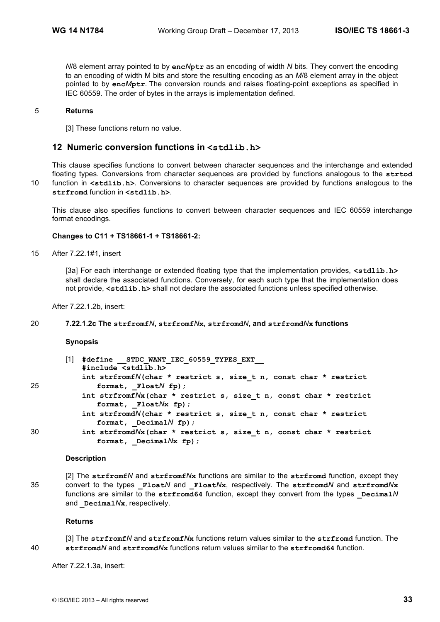*N*/8 element array pointed to by **enc***N***ptr** as an encoding of width *N* bits. They convert the encoding to an encoding of width M bits and store the resulting encoding as an *M*/8 element array in the object pointed to by **enc***M***ptr**. The conversion rounds and raises floating-point exceptions as specified in IEC 60559. The order of bytes in the arrays is implementation defined.

### 5 **Returns**

[3] These functions return no value.

## **12 Numeric conversion functions in <stdlib.h>**

This clause specifies functions to convert between character sequences and the interchange and extended floating types. Conversions from character sequences are provided by functions analogous to the **strtod** 10 function in **<stdlib.h>**. Conversions to character sequences are provided by functions analogous to the

**strfromd** function in **<stdlib.h>**.

This clause also specifies functions to convert between character sequences and IEC 60559 interchange format encodings.

#### **Changes to C11 + TS18661-1 + TS18661-2:**

15 After 7.22.1#1, insert

[3a] For each interchange or extended floating type that the implementation provides, **<stdlib.h>** shall declare the associated functions. Conversely, for each such type that the implementation does not provide, **<stdlib.h>** shall not declare the associated functions unless specified otherwise.

After 7.22.1.2b, insert:

## 20 **7.22.1.2c The strfromf***N***, strfromf***N***x, strfromd***N***, and strfromd***N***x functions**

#### **Synopsis**

|    | $\lceil 1 \rceil$ | #define STDC WANT IEC 60559 TYPES EXT<br>#include <stdlib.h></stdlib.h> |
|----|-------------------|-------------------------------------------------------------------------|
|    |                   | int strfromfN(char * restrict s, size t n, const char * restrict        |
| 25 |                   | format, $F$ loat $N$ fp);                                               |
|    |                   | int strfromfNx(char * restrict s, size t n, const char * restrict       |
|    |                   | format, $F$ loat $N$ x fp $)$ ;                                         |
|    |                   | int strfromdN(char * restrict s, size t n, const char * restrict        |
|    |                   | format, Decimal $N$ fp);                                                |
| 30 |                   | int strfromd/vx (char * restrict s, size_t n, const char * restrict     |
|    |                   | format, Decimal $Nx$ fp);                                               |
|    |                   |                                                                         |

## **Description**

[2] The **strfromf***N* and **strfromf***N***x** functions are similar to the **strfromd** function, except they 35 convert to the types **\_Float***N* and **\_Float***N***x**, respectively. The **strfromd***N* and **strfromd***N***x** functions are similar to the strfromd64 function, except they convert from the types **Decimal**N and **Decimal**/ $N$ **x**, respectively.

#### **Returns**

[3] The **strfromf***N* and **strfromf***N***x** functions return values similar to the **strfromd** function. The 40 **strfromd***N* and **strfromd***N***x** functions return values similar to the **strfromd64** function.

After 7.22.1.3a, insert: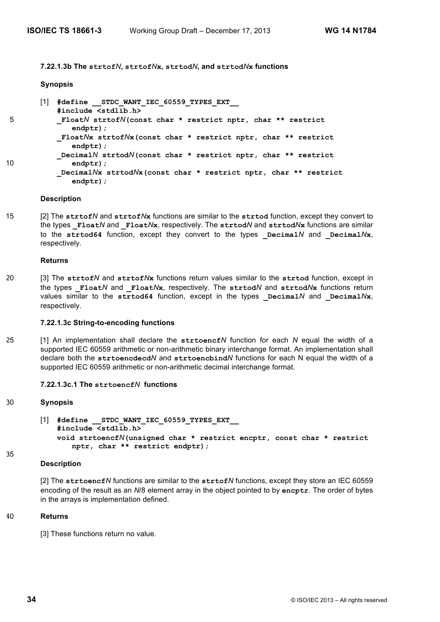**7.22.1.3b The strtof***N***, strtof***N***x, strtod***N***, and strtod***N***x functions**

#### **Synopsis**

[1] **#define \_\_STDC\_WANT\_IEC\_60559\_TYPES\_EXT\_\_ #include <stdlib.h>** 5 **\_Float***N* **strtof***N***(const char \* restrict nptr, char \*\* restrict endptr); \_Float***N***x strtof***N***x(const char \* restrict nptr, char \*\* restrict endptr); \_Decimal***N* **strtod***N***(const char \* restrict nptr, char \*\* restrict** 10 **endptr); \_Decimal***N***x strtod***N***x(const char \* restrict nptr, char \*\* restrict endptr);**

#### **Description**

15 [2] The **strtof***N* and **strtof***N***x** functions are similar to the **strtod** function, except they convert to the types **\_Float***N* and **\_Float***N***x**, respectively. The **strtod***N* and **strtod***N***x** functions are similar to the strtod64 function, except they convert to the types  $DecimalN$  and  $DecimalNx$ , respectively.

#### **Returns**

20 [3] The **strtof***N* and **strtof***N***x** functions return values similar to the **strtod** function, except in the types **\_Float***N* and **\_Float***N***x**, respectively. The **strtod***N* and **strtod***N***x** functions return values similar to the  $str\text{-}tot64$  function, except in the types  $\text{Decimal}N$  and  $\text{Decimal}N$ **x**, respectively.

#### **7.22.1.3c String-to-encoding functions**

25 [1] An implementation shall declare the **strtoencf***N* function for each *N* equal the width of a supported IEC 60559 arithmetic or non-arithmetic binary interchange format. An implementation shall declare both the **strtoencdecd***N* and **strtoencbind***N* functions for each N equal the width of a supported IEC 60559 arithmetic or non-arithmetic decimal interchange format.

## **7.22.1.3c.1 The strtoencf***N* **functions**

#### 30 **Synopsis**

[1] **#define \_\_STDC\_WANT\_IEC\_60559\_TYPES\_EXT\_\_ #include <stdlib.h> void strtoencf***N***(unsigned char \* restrict encptr, const char \* restrict nptr, char \*\* restrict endptr);**

```
35
```
#### **Description**

[2] The **strtoencf***N* functions are similar to the **strtof***N* functions, except they store an IEC 60559 encoding of the result as an *N*/8 element array in the object pointed to by **encptr**. The order of bytes in the arrays is implementation defined.

#### 40 **Returns**

[3] These functions return no value.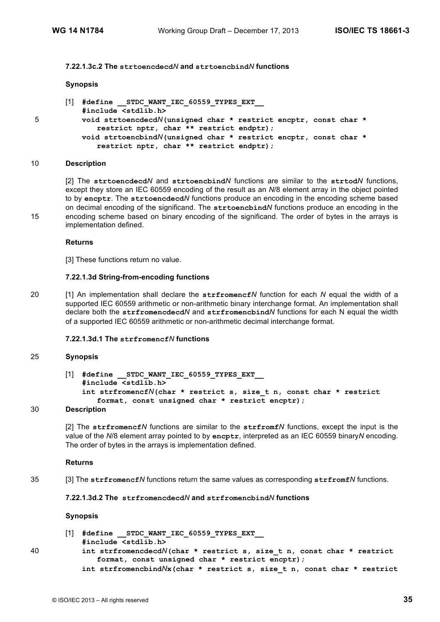#### **7.22.1.3c.2 The strtoencdecd***N* **and strtoencbind***N* **functions**

#### **Synopsis**

```
[1] #define __STDC_WANT_IEC_60559_TYPES_EXT__
          #include <stdlib.h>
5 void strtoencdecdN(unsigned char * restrict encptr, const char *
              restrict nptr, char ** restrict endptr);
          void strtoencbindN(unsigned char * restrict encptr, const char *
             restrict nptr, char ** restrict endptr);
```
#### 10 **Description**

[2] The **strtoencdecd***N* and **strtoencbind***N* functions are similar to the **strtod***N* functions, except they store an IEC 60559 encoding of the result as an *N*/8 element array in the object pointed to by **encptr**. The **strtoencdecd***N* functions produce an encoding in the encoding scheme based on decimal encoding of the significand. The **strtoencbind***N* functions produce an encoding in the 15 encoding scheme based on binary encoding of the significand. The order of bytes in the arrays is implementation defined.

#### **Returns**

[3] These functions return no value.

#### **7.22.1.3d String-from-encoding functions**

20 [1] An implementation shall declare the **strfromencf***N* function for each *N* equal the width of a supported IEC 60559 arithmetic or non-arithmetic binary interchange format. An implementation shall declare both the **strfromencdecd***N* and **strfromencbind***N* functions for each N equal the width of a supported IEC 60559 arithmetic or non-arithmetic decimal interchange format.

#### **7.22.1.3d.1 The strfromencf***N* **functions**

#### 25 **Synopsis**

```
[1] #define __STDC_WANT_IEC_60559_TYPES_EXT__
   #include <stdlib.h>
    int strfromencfN(char * restrict s, size_t n, const char * restrict
       format, const unsigned char * restrict encptr);
```
#### 30 **Description**

[2] The **strfromencf***N* functions are similar to the **strfromf***N* functions, except the input is the value of the *N*/8 element array pointed to by **encptr**, interpreted as an IEC 60559 binary*N* encoding. The order of bytes in the arrays is implementation defined.

#### **Returns**

35 [3] The **strfromencf***N* functions return the same values as corresponding **strfromf***N* functions.

#### **7.22.1.3d.2 The strfromencdecd***N* **and strfromencbind***N* **functions**

#### **Synopsis**

| [1] #define STDC WANT IEC 60559 TYPES EXT |  |  |  |  |
|-------------------------------------------|--|--|--|--|
| #include <stdlib.h></stdlib.h>            |  |  |  |  |

40 **int strfromencdecd***N***(char \* restrict s, size\_t n, const char \* restrict format, const unsigned char \* restrict encptr);** 

**int strfromencbind***N***x(char \* restrict s, size\_t n, const char \* restrict**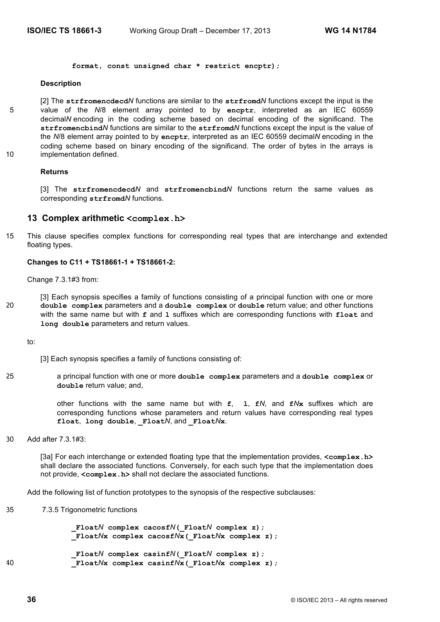**format, const unsigned char \* restrict encptr);**

#### **Description**

[2] The **strfromencdecd***N* functions are similar to the **strfromd***N* functions except the input is the 5 value of the *N*/8 element array pointed to by **encptr**, interpreted as an IEC 60559 decimal*N* encoding in the coding scheme based on decimal encoding of the significand. The **strfromencbind***N* functions are similar to the **strfromd***N* functions except the input is the value of the *N*/8 element array pointed to by **encptr**, interpreted as an IEC 60559 decimal*N* encoding in the coding scheme based on binary encoding of the significand. The order of bytes in the arrays is 10 implementation defined.

#### **Returns**

[3] The **strfromencdecd***N* and **strfromencbind***N* functions return the same values as corresponding **strfromd***N* functions.

## **13 Complex arithmetic <complex.h>**

15 This clause specifies complex functions for corresponding real types that are interchange and extended floating types.

#### **Changes to C11 + TS18661-1 + TS18661-2:**

Change 7.3.1#3 from:

[3] Each synopsis specifies a family of functions consisting of a principal function with one or more 20 **double complex** parameters and a **double complex** or **double** return value; and other functions with the same name but with **f** and **l** suffixes which are corresponding functions with **float** and **long double** parameters and return values.

to:

- [3] Each synopsis specifies a family of functions consisting of:
- 25 a principal function with one or more **double complex** parameters and a **double complex** or **double** return value; and,

other functions with the same name but with **f**, **l**, **f***N*, and **f***N***x** suffixes which are corresponding functions whose parameters and return values have corresponding real types **float**, **long double**, **\_Float***N*, and **\_Float***N***x**.

30 Add after 7.3.1#3:

[3a] For each interchange or extended floating type that the implementation provides, **<complex.h>** shall declare the associated functions. Conversely, for each such type that the implementation does not provide, **<complex.h>** shall not declare the associated functions.

Add the following list of function prototypes to the synopsis of the respective subclauses:

35 7.3.5 Trigonometric functions

 **\_Float***N* **complex cacosf***N***(\_Float***N* **complex z); \_Float***N***x complex cacosf***N***x(\_Float***N***x complex z);**

 **\_Float***N* **complex casinf***N***(\_Float***N* **complex z);** 40 **\_Float***N***x complex casinf***N***x(\_Float***N***x complex z);**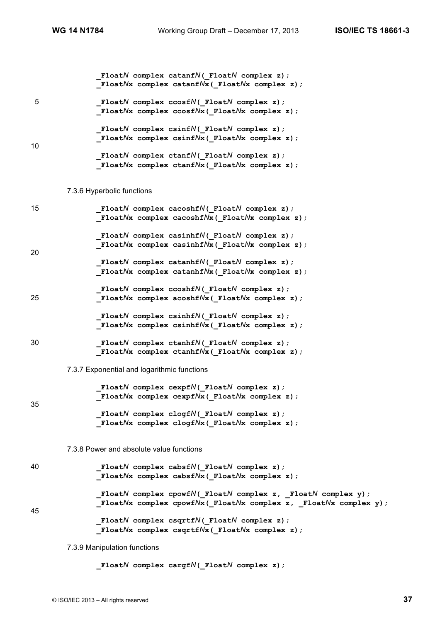|    | FloatN complex catanfN( FloatN complex z);<br>Float $N$ x complex catanf $N$ x (Float $N$ x complex z);                                                                                                       |
|----|---------------------------------------------------------------------------------------------------------------------------------------------------------------------------------------------------------------|
| 5  | Float $N$ complex ccosf $N($ Float $N$ complex z);<br>Float $N$ x complex ccosf $N$ x (Float $N$ x complex z);                                                                                                |
| 10 | Float $N$ complex csinf $N($ Float $N$ complex z);<br>Float $N$ x complex csinf $N$ x (Float $N$ x complex z);<br>_FloatN complex ctanfN(_FloatN complex z);<br>_FloatNx complex ctanfNx(_FloatNx complex z); |
|    | 7.3.6 Hyperbolic functions                                                                                                                                                                                    |
| 15 | Float $N$ complex cacoshf $N($ Float $N$ complex z);<br>Float $N$ x complex cacoshf $N$ x (Float $N$ x complex z);                                                                                            |
| 20 | Float $N$ complex casinhf $N($ Float $N$ complex z);<br>Float $N$ x complex casinhf $N$ x (Float $N$ x complex z);                                                                                            |
|    | Float $N$ complex catanhf $N($ Float $N$ complex z);<br>Float $N$ x complex catanhf $N$ x (Float $N$ x complex z);                                                                                            |
| 25 | Float $N$ complex ccoshf $N($ Float $N$ complex z);<br>$_F$ loat $N$ x complex acoshf $N$ x ( $_F$ loat $N$ x complex z);                                                                                     |
|    | $\_$ Float $N$ complex csinhf $N$ ( $\_$ Float $N$ complex z);<br>_FloatNx complex csinhfNx(_FloatNx complex z) ;                                                                                             |
| 30 | Float $N$ complex ctanhf $N($ Float $N$ complex z);<br>$_F$ loat $N$ x complex ctanhf $N$ x ( $_F$ loat $N$ x complex z);                                                                                     |
|    | 7.3.7 Exponential and logarithmic functions                                                                                                                                                                   |
| 35 | $\_$ Float $N$ complex cexpf $N($ $\_$ Float $N$ complex z);<br>$_F$ loat $N$ x complex cexpf $N$ x ( $_F$ loat $N$ x complex z);                                                                             |
|    | Float $N$ complex clogf $N($ Float $N$ complex z);<br>FloatNx complex clogfNx ( FloatNx complex z) ;                                                                                                          |
|    | 7.3.8 Power and absolute value functions                                                                                                                                                                      |
| 40 | Float $N$ complex cabsf $N($ Float $N$ complex z);<br>FloatNx complex cabsfNx( FloatNx complex z);                                                                                                            |
| 45 | _FloatN complex cpowfN(_FloatN complex z, _FloatN complex y) ;<br>$_F$ loat $N$ x complex cpowf $N$ x ( $_F$ loat $N$ x complex z, $_F$ loat $N$ x complex y);                                                |
|    | Float $N$ complex csqrtf $N($ Float $N$ complex z);<br>FloatNx complex csqrtfNx(_FloatNx complex z);                                                                                                          |
|    | 7.3.9 Manipulation functions                                                                                                                                                                                  |

 **\_Float***N* **complex cargf***N***(\_Float***N* **complex z);**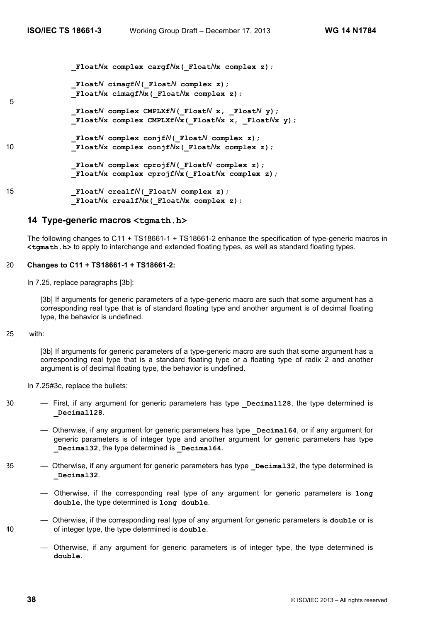**\_Float***N***x complex cargf***N***x(\_Float***N***x complex z);**

```
 _FloatN cimagfN(_FloatN complex z);
 _FloatNx cimagfNx(_FloatNx complex z);
```
 **\_Float***N* **complex CMPLXf***N***(\_Float***N* **x, \_Float***N* **y);**  $\overline{F}$ loat $N$ **x** complex CMPLXf $N$ **x** ( $\overline{F}$ loat $N$ **x**  $\overline{x}$ ,  $\overline{F}$ loat $N$ **x**  $\overline{y}$ );

 **\_Float***N* **complex conjf***N***(\_Float***N* **complex z);** 10 **\_Float***N***x complex conjf***N***x(\_Float***N***x complex z);**

> **\_Float***N* **complex cprojf***N***(\_Float***N* **complex z); \_Float***N***x complex cprojf***N***x(\_Float***N***x complex z);**

15 **\_Float***N* **crealf***N***(\_Float***N* **complex z); \_Float***N***x crealf***N***x(\_Float***N***x complex z);**

## **14 Type-generic macros <tgmath.h>**

The following changes to C11 + TS18661-1 + TS18661-2 enhance the specification of type-generic macros in **<tgmath.h>** to apply to interchange and extended floating types, as well as standard floating types.

#### 20 **Changes to C11 + TS18661-1 + TS18661-2:**

In 7.25, replace paragraphs [3b]:

[3b] If arguments for generic parameters of a type-generic macro are such that some argument has a corresponding real type that is of standard floating type and another argument is of decimal floating type, the behavior is undefined.

#### 25 with:

5

[3b] If arguments for generic parameters of a type-generic macro are such that some argument has a corresponding real type that is a standard floating type or a floating type of radix 2 and another argument is of decimal floating type, the behavior is undefined.

In 7.25#3c, replace the bullets:

- 30 First, if any argument for generic parameters has type **Decimal128**, the type determined is **\_Decimal128**.
	- Otherwise, if any argument for generic parameters has type **\_Decimal64**, or if any argument for generic parameters is of integer type and another argument for generic parameters has type **\_Decimal32**, the type determined is **\_Decimal64**.
- 35 Otherwise, if any argument for generic parameters has type **Decimal32**, the type determined is **\_Decimal32**.
	- Otherwise, if the corresponding real type of any argument for generic parameters is **long double**, the type determined is **long double**.
- Otherwise, if the corresponding real type of any argument for generic parameters is **double** or is 40 of integer type, the type determined is **double**.
	- Otherwise, if any argument for generic parameters is of integer type, the type determined is **double**.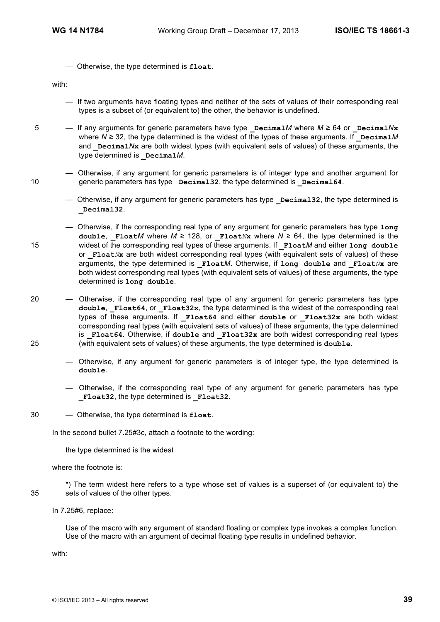— Otherwise, the type determined is **float**.

with:

- If two arguments have floating types and neither of the sets of values of their corresponding real types is a subset of (or equivalent to) the other, the behavior is undefined.
- 5  $-$  If any arguments for generic parameters have type **Decimal***M* where  $M \ge 64$  or **Decimal** $N$ **x** where  $N \geq 32$ , the type determined is the widest of the types of these arguments. If  $\Delta P$  **Decimal** and **Decimal** N<sub>x</sub> are both widest types (with equivalent sets of values) of these arguments, the type determined is **\_Decimal***M*.
- Otherwise, if any argument for generic parameters is of integer type and another argument for 10 generic parameters has type **Decimal32**, the type determined is **Decimal64**.
	- Otherwise, if any argument for generic parameters has type **Decimal32**, the type determined is **\_Decimal32**.
- Otherwise, if the corresponding real type of any argument for generic parameters has type **long double, Float***M* where *M* ≥ 128, or **Float***N***x** where *N* ≥ 64, the type determined is the 15 widest of the corresponding real types of these arguments. If **\_Float***M* and either **long double** or **Float***N***x** are both widest corresponding real types (with equivalent sets of values) of these arguments, the type determined is **\_Float***M*. Otherwise, if **long double** and **\_Float***N***x** are both widest corresponding real types (with equivalent sets of values) of these arguments, the type determined is **long double**.
- 20 Otherwise, if the corresponding real type of any argument for generic parameters has type **double**, **\_Float64**, or **\_Float32x**, the type determined is the widest of the corresponding real types of these arguments. If **\_Float64** and either **double** or **\_Float32x** are both widest corresponding real types (with equivalent sets of values) of these arguments, the type determined is **Float64**. Otherwise, if double and **Float32x** are both widest corresponding real types 25 (with equivalent sets of values) of these arguments, the type determined is **double**.
	- Otherwise, if any argument for generic parameters is of integer type, the type determined is **double**.
	- Otherwise, if the corresponding real type of any argument for generic parameters has type **\_Float32**, the type determined is **\_Float32**.
- 30 Otherwise, the type determined is **float**.

In the second bullet 7.25#3c, attach a footnote to the wording:

the type determined is the widest

where the footnote is:

\*) The term widest here refers to a type whose set of values is a superset of (or equivalent to) the 35 sets of values of the other types.

In 7.25#6, replace:

Use of the macro with any argument of standard floating or complex type invokes a complex function. Use of the macro with an argument of decimal floating type results in undefined behavior.

with: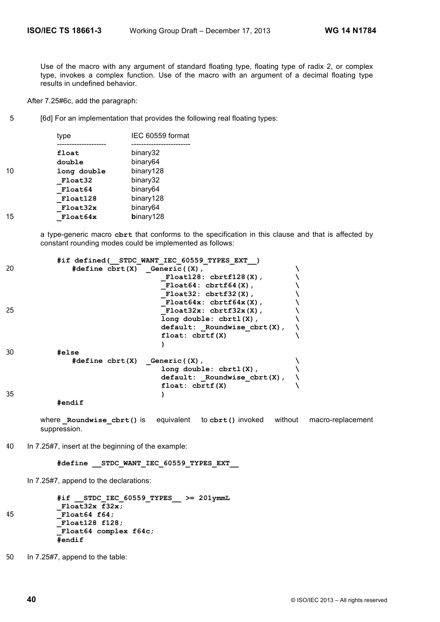Use of the macro with any argument of standard floating type, floating type of radix 2, or complex type, invokes a complex function. Use of the macro with an argument of a decimal floating type results in undefined behavior.

After 7.25#6c, add the paragraph:

5 [6d] For an implementation that provides the following real floating types:

|    | type        | IEC 60559 format |
|----|-------------|------------------|
|    | float       | binary32         |
|    | double      | binary64         |
| 10 | long double | binary128        |
|    | Float32     | binary32         |
|    | Float64     | binary64         |
|    | Float128    | binary128        |
|    | Float32x    | binary64         |
| 15 | Float64x    | binary128        |
|    |             |                  |

a type-generic macro **cbrt** that conforms to the specification in this clause and that is affected by constant rounding modes could be implemented as follows:

|    |                                                        | #if defined( STDC WANT IEC 60559 TYPES EXT ) |  |
|----|--------------------------------------------------------|----------------------------------------------|--|
| 20 | $\#define \; \text{chrt}(X) \quad \text{Generic}((X),$ |                                              |  |
|    |                                                        | $F$ loat $128:$ cbrtf $128(X)$ ,             |  |
|    |                                                        | $F$ loat $64:$ cbrtf $64(X)$ ,               |  |
|    |                                                        | $F$ loat $32:$ cbrtf $32(X)$ ,               |  |
|    |                                                        | $F$ loat $64x$ : cbrtf $64x$ (X),            |  |
| 25 |                                                        | $F$ loat $32x$ : cbrtf $32x(X)$ ,            |  |
|    |                                                        | $l$ ong double: $cbrt1(X)$ ,                 |  |
|    |                                                        | $default:$ Roundwise $cbrt(X)$ ,             |  |
|    |                                                        | float: chrtf(X)                              |  |
|    |                                                        |                                              |  |
| 30 | #else                                                  |                                              |  |
|    | $\#define \; \text{chrt}(X) \quad \text{Generic}((X),$ |                                              |  |
|    |                                                        | $long double: chrtl(X)$ ,                    |  |
|    |                                                        | $default:$ Roundwise $cbrt(X)$ ,             |  |
|    |                                                        | float: chrtf(X)                              |  |
| 35 |                                                        |                                              |  |
|    | #                                                      |                                              |  |

**#endif**

where **Roundwise cbrt()** is equivalent to cbrt() invoked without macro-replacement suppression.

40 In 7.25#7, insert at the beginning of the example:

**#define \_\_STDC\_WANT\_IEC\_60559\_TYPES\_EXT\_\_**

In 7.25#7, append to the declarations:

```
#if __STDC_IEC_60559_TYPES__ >= 201ymmL
           _Float32x f32x;
45 _Float64 f64;
           _Float128 f128;
           _Float64 complex f64c;
           #endif
```
50 In 7.25#7, append to the table: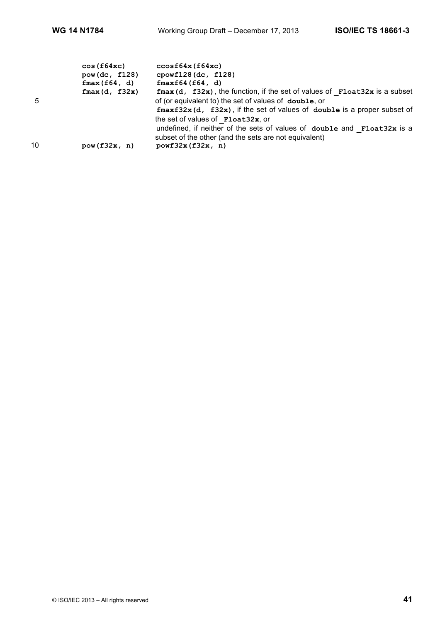|    | cos(f64xc)<br>pow(dc, f128)<br>fmax(f64, d) | ccosf64x(f64xc)<br>$cpowf128$ (dc, f128)<br>fmaxf64(f64, d)                                                                                                                                                                                                                                    |
|----|---------------------------------------------|------------------------------------------------------------------------------------------------------------------------------------------------------------------------------------------------------------------------------------------------------------------------------------------------|
| 5  | fmax(d, f32x)                               | ${\bf fmax}$ (d, ${\bf f32x}$ ), the function, if the set of values of ${\bf Flost22x}$ is a subset<br>of (or equivalent to) the set of values of double, or<br>${\tt fmaxf32x}$ (d, ${\tt f32x}$ ), if the set of values of double is a proper subset of<br>the set of values of Float32x, or |
| 10 | pow(f32x, n)                                | undefined, if neither of the sets of values of double and Float32x is a<br>subset of the other (and the sets are not equivalent)<br>powf32x(f32x, n)                                                                                                                                           |